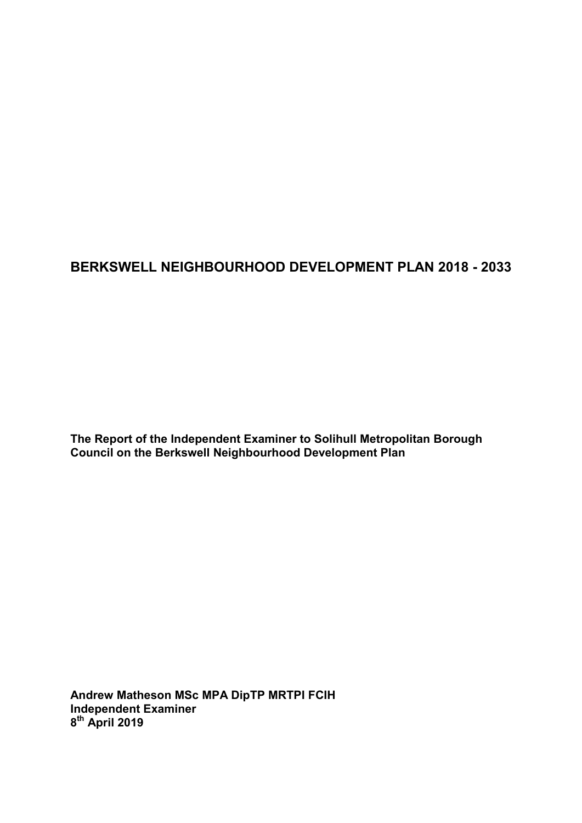## **BERKSWELL NEIGHBOURHOOD DEVELOPMENT PLAN 2018 - 2033**

**The Report of the Independent Examiner to Solihull Metropolitan Borough Council on the Berkswell Neighbourhood Development Plan** 

**Andrew Matheson MSc MPA DipTP MRTPI FCIH Independent Examiner 8 th April 2019**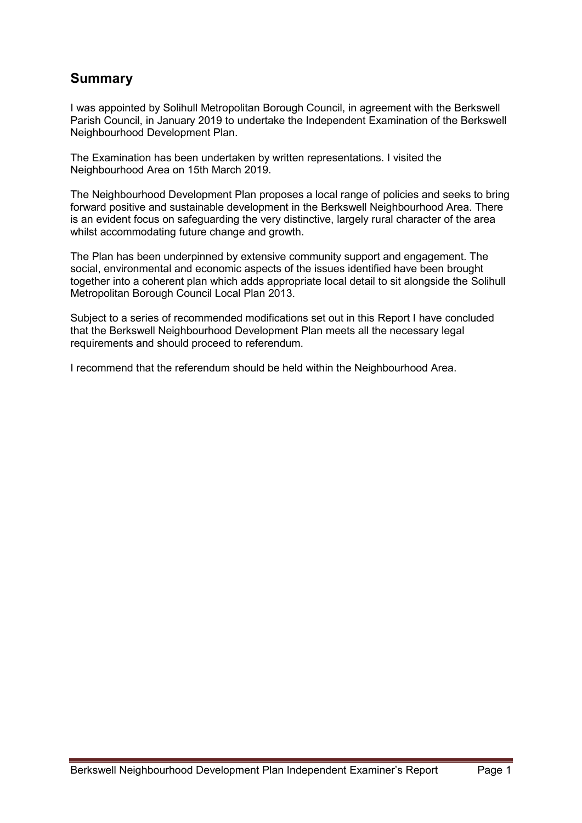## **Summary**

I was appointed by Solihull Metropolitan Borough Council, in agreement with the Berkswell Parish Council, in January 2019 to undertake the Independent Examination of the Berkswell Neighbourhood Development Plan.

The Examination has been undertaken by written representations. I visited the Neighbourhood Area on 15th March 2019.

The Neighbourhood Development Plan proposes a local range of policies and seeks to bring forward positive and sustainable development in the Berkswell Neighbourhood Area. There is an evident focus on safeguarding the very distinctive, largely rural character of the area whilst accommodating future change and growth.

The Plan has been underpinned by extensive community support and engagement. The social, environmental and economic aspects of the issues identified have been brought together into a coherent plan which adds appropriate local detail to sit alongside the Solihull Metropolitan Borough Council Local Plan 2013.

Subject to a series of recommended modifications set out in this Report I have concluded that the Berkswell Neighbourhood Development Plan meets all the necessary legal requirements and should proceed to referendum.

I recommend that the referendum should be held within the Neighbourhood Area.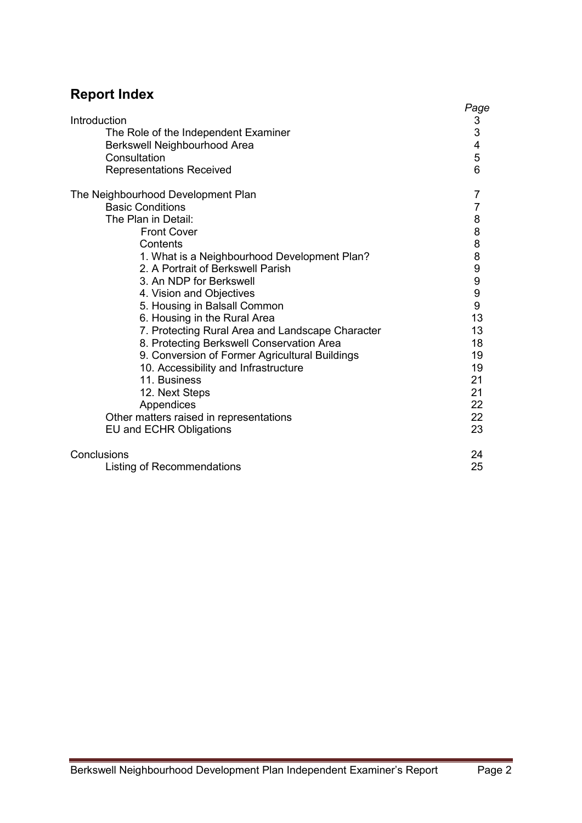# **Report Index**

|                                                  | Page                                  |
|--------------------------------------------------|---------------------------------------|
| Introduction                                     | $\frac{3}{3}$                         |
| The Role of the Independent Examiner             |                                       |
| Berkswell Neighbourhood Area                     | $\overline{\mathcal{A}}$              |
| Consultation                                     | 5                                     |
| <b>Representations Received</b>                  | 6                                     |
| The Neighbourhood Development Plan               | 7                                     |
| <b>Basic Conditions</b>                          | 7                                     |
| The Plan in Detail:                              | 8                                     |
| <b>Front Cover</b>                               | 8                                     |
| Contents                                         | $\begin{array}{c} 8 \\ 8 \end{array}$ |
| 1. What is a Neighbourhood Development Plan?     |                                       |
| 2. A Portrait of Berkswell Parish                | 9                                     |
| 3. An NDP for Berkswell                          | 9                                     |
| 4. Vision and Objectives                         | 9                                     |
| 5. Housing in Balsall Common                     | 9                                     |
| 6. Housing in the Rural Area                     | 13                                    |
| 7. Protecting Rural Area and Landscape Character | 13                                    |
| 8. Protecting Berkswell Conservation Area        | 18                                    |
| 9. Conversion of Former Agricultural Buildings   | 19                                    |
| 10. Accessibility and Infrastructure             | 19                                    |
| 11. Business                                     | 21                                    |
| 12. Next Steps                                   | 21                                    |
| Appendices                                       | 22                                    |
| Other matters raised in representations          | 22                                    |
| <b>EU and ECHR Obligations</b>                   | 23                                    |
| Conclusions                                      | 24                                    |
| <b>Listing of Recommendations</b>                | 25                                    |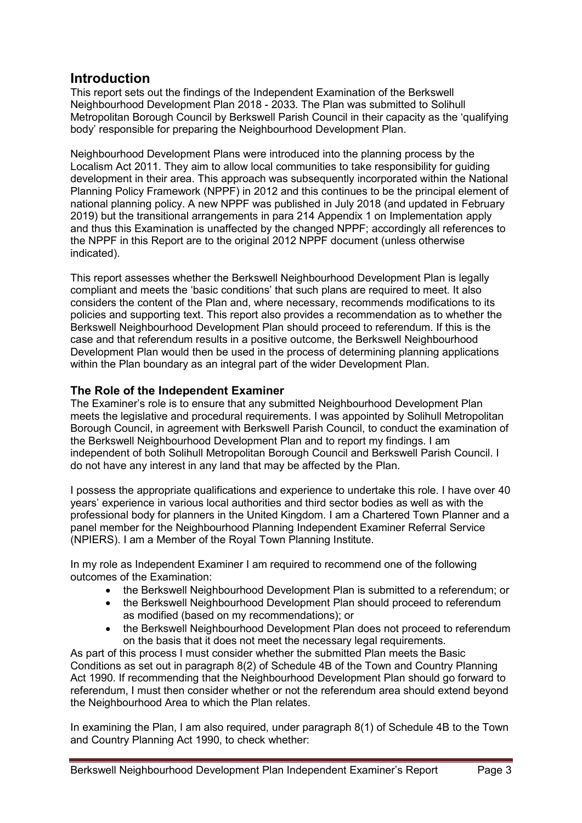## **Introduction**

This report sets out the findings of the Independent Examination of the Berkswell Neighbourhood Development Plan 2018 - 2033. The Plan was submitted to Solihull Metropolitan Borough Council by Berkswell Parish Council in their capacity as the 'qualifying body' responsible for preparing the Neighbourhood Development Plan.

Neighbourhood Development Plans were introduced into the planning process by the Localism Act 2011. They aim to allow local communities to take responsibility for guiding development in their area. This approach was subsequently incorporated within the National Planning Policy Framework (NPPF) in 2012 and this continues to be the principal element of national planning policy. A new NPPF was published in July 2018 (and updated in February 2019) but the transitional arrangements in para 214 Appendix 1 on Implementation apply and thus this Examination is unaffected by the changed NPPF; accordingly all references to the NPPF in this Report are to the original 2012 NPPF document (unless otherwise indicated).

This report assesses whether the Berkswell Neighbourhood Development Plan is legally compliant and meets the 'basic conditions' that such plans are required to meet. It also considers the content of the Plan and, where necessary, recommends modifications to its policies and supporting text. This report also provides a recommendation as to whether the Berkswell Neighbourhood Development Plan should proceed to referendum. If this is the case and that referendum results in a positive outcome, the Berkswell Neighbourhood Development Plan would then be used in the process of determining planning applications within the Plan boundary as an integral part of the wider Development Plan.

## **The Role of the Independent Examiner**

The Examiner's role is to ensure that any submitted Neighbourhood Development Plan meets the legislative and procedural requirements. I was appointed by Solihull Metropolitan Borough Council, in agreement with Berkswell Parish Council, to conduct the examination of the Berkswell Neighbourhood Development Plan and to report my findings. I am independent of both Solihull Metropolitan Borough Council and Berkswell Parish Council. I do not have any interest in any land that may be affected by the Plan.

I possess the appropriate qualifications and experience to undertake this role. I have over 40 years' experience in various local authorities and third sector bodies as well as with the professional body for planners in the United Kingdom. I am a Chartered Town Planner and a panel member for the Neighbourhood Planning Independent Examiner Referral Service (NPIERS). I am a Member of the Royal Town Planning Institute.

In my role as Independent Examiner I am required to recommend one of the following outcomes of the Examination:

- the Berkswell Neighbourhood Development Plan is submitted to a referendum; or
- the Berkswell Neighbourhood Development Plan should proceed to referendum as modified (based on my recommendations); or
- the Berkswell Neighbourhood Development Plan does not proceed to referendum on the basis that it does not meet the necessary legal requirements.

As part of this process I must consider whether the submitted Plan meets the Basic Conditions as set out in paragraph 8(2) of Schedule 4B of the Town and Country Planning Act 1990. If recommending that the Neighbourhood Development Plan should go forward to referendum, I must then consider whether or not the referendum area should extend beyond the Neighbourhood Area to which the Plan relates.

In examining the Plan, I am also required, under paragraph 8(1) of Schedule 4B to the Town and Country Planning Act 1990, to check whether: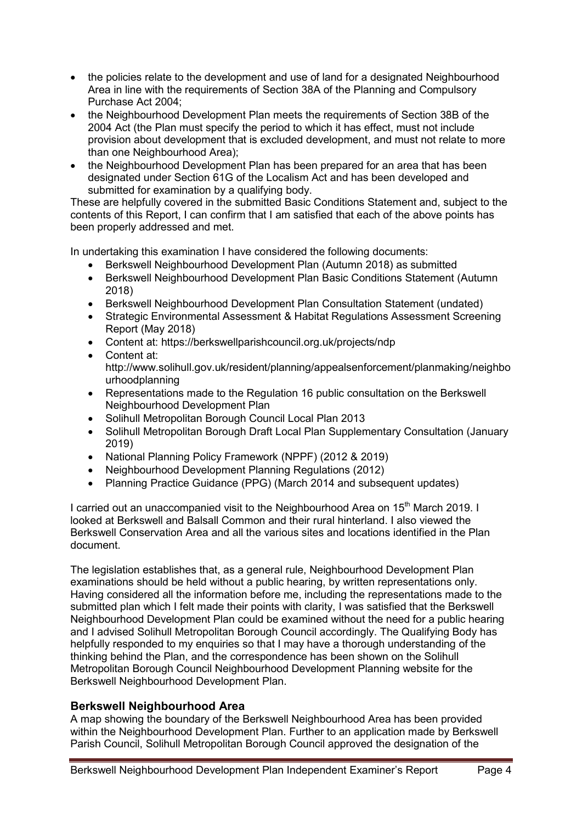- the policies relate to the development and use of land for a designated Neighbourhood Area in line with the requirements of Section 38A of the Planning and Compulsory Purchase Act 2004;
- the Neighbourhood Development Plan meets the requirements of Section 38B of the 2004 Act (the Plan must specify the period to which it has effect, must not include provision about development that is excluded development, and must not relate to more than one Neighbourhood Area);
- the Neighbourhood Development Plan has been prepared for an area that has been designated under Section 61G of the Localism Act and has been developed and submitted for examination by a qualifying body.

These are helpfully covered in the submitted Basic Conditions Statement and, subject to the contents of this Report, I can confirm that I am satisfied that each of the above points has been properly addressed and met.

In undertaking this examination I have considered the following documents:

- Berkswell Neighbourhood Development Plan (Autumn 2018) as submitted
- Berkswell Neighbourhood Development Plan Basic Conditions Statement (Autumn 2018)
- Berkswell Neighbourhood Development Plan Consultation Statement (undated)
- Strategic Environmental Assessment & Habitat Regulations Assessment Screening Report (May 2018)
- Content at: https://berkswellparishcouncil.org.uk/projects/ndp
- Content at: http://www.solihull.gov.uk/resident/planning/appealsenforcement/planmaking/neighbo urhoodplanning
- Representations made to the Regulation 16 public consultation on the Berkswell Neighbourhood Development Plan
- Solihull Metropolitan Borough Council Local Plan 2013
- Solihull Metropolitan Borough Draft Local Plan Supplementary Consultation (January 2019)
- National Planning Policy Framework (NPPF) (2012 & 2019)
- Neighbourhood Development Planning Regulations (2012)
- Planning Practice Guidance (PPG) (March 2014 and subsequent updates)

I carried out an unaccompanied visit to the Neighbourhood Area on 15<sup>th</sup> March 2019. I looked at Berkswell and Balsall Common and their rural hinterland. I also viewed the Berkswell Conservation Area and all the various sites and locations identified in the Plan document.

The legislation establishes that, as a general rule, Neighbourhood Development Plan examinations should be held without a public hearing, by written representations only. Having considered all the information before me, including the representations made to the submitted plan which I felt made their points with clarity, I was satisfied that the Berkswell Neighbourhood Development Plan could be examined without the need for a public hearing and I advised Solihull Metropolitan Borough Council accordingly. The Qualifying Body has helpfully responded to my enquiries so that I may have a thorough understanding of the thinking behind the Plan, and the correspondence has been shown on the Solihull Metropolitan Borough Council Neighbourhood Development Planning website for the Berkswell Neighbourhood Development Plan.

## **Berkswell Neighbourhood Area**

A map showing the boundary of the Berkswell Neighbourhood Area has been provided within the Neighbourhood Development Plan. Further to an application made by Berkswell Parish Council, Solihull Metropolitan Borough Council approved the designation of the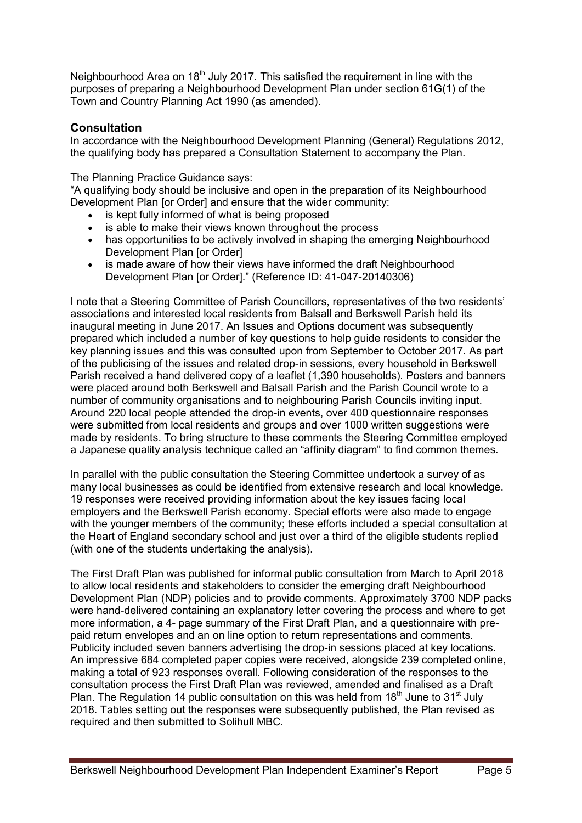Neighbourhood Area on 18<sup>th</sup> July 2017. This satisfied the requirement in line with the purposes of preparing a Neighbourhood Development Plan under section 61G(1) of the Town and Country Planning Act 1990 (as amended).

## **Consultation**

In accordance with the Neighbourhood Development Planning (General) Regulations 2012, the qualifying body has prepared a Consultation Statement to accompany the Plan.

The Planning Practice Guidance says:

"A qualifying body should be inclusive and open in the preparation of its Neighbourhood Development Plan for Orderl and ensure that the wider community:

- is kept fully informed of what is being proposed
- is able to make their views known throughout the process
- has opportunities to be actively involved in shaping the emerging Neighbourhood Development Plan [or Order]
- is made aware of how their views have informed the draft Neighbourhood Development Plan [or Order]." (Reference ID: 41-047-20140306)

I note that a Steering Committee of Parish Councillors, representatives of the two residents' associations and interested local residents from Balsall and Berkswell Parish held its inaugural meeting in June 2017. An Issues and Options document was subsequently prepared which included a number of key questions to help guide residents to consider the key planning issues and this was consulted upon from September to October 2017. As part of the publicising of the issues and related drop-in sessions, every household in Berkswell Parish received a hand delivered copy of a leaflet (1,390 households). Posters and banners were placed around both Berkswell and Balsall Parish and the Parish Council wrote to a number of community organisations and to neighbouring Parish Councils inviting input. Around 220 local people attended the drop-in events, over 400 questionnaire responses were submitted from local residents and groups and over 1000 written suggestions were made by residents. To bring structure to these comments the Steering Committee employed a Japanese quality analysis technique called an "affinity diagram" to find common themes.

In parallel with the public consultation the Steering Committee undertook a survey of as many local businesses as could be identified from extensive research and local knowledge. 19 responses were received providing information about the key issues facing local employers and the Berkswell Parish economy. Special efforts were also made to engage with the younger members of the community; these efforts included a special consultation at the Heart of England secondary school and just over a third of the eligible students replied (with one of the students undertaking the analysis).

The First Draft Plan was published for informal public consultation from March to April 2018 to allow local residents and stakeholders to consider the emerging draft Neighbourhood Development Plan (NDP) policies and to provide comments. Approximately 3700 NDP packs were hand-delivered containing an explanatory letter covering the process and where to get more information, a 4- page summary of the First Draft Plan, and a questionnaire with prepaid return envelopes and an on line option to return representations and comments. Publicity included seven banners advertising the drop-in sessions placed at key locations. An impressive 684 completed paper copies were received, alongside 239 completed online, making a total of 923 responses overall. Following consideration of the responses to the consultation process the First Draft Plan was reviewed, amended and finalised as a Draft Plan. The Regulation 14 public consultation on this was held from  $18<sup>th</sup>$  June to  $31<sup>st</sup>$  July 2018. Tables setting out the responses were subsequently published, the Plan revised as required and then submitted to Solihull MBC.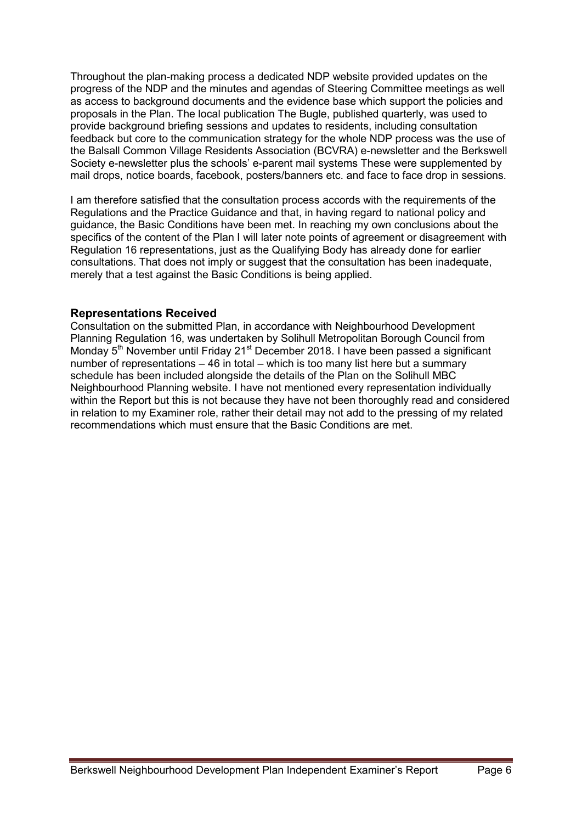Throughout the plan-making process a dedicated NDP website provided updates on the progress of the NDP and the minutes and agendas of Steering Committee meetings as well as access to background documents and the evidence base which support the policies and proposals in the Plan. The local publication The Bugle, published quarterly, was used to provide background briefing sessions and updates to residents, including consultation feedback but core to the communication strategy for the whole NDP process was the use of the Balsall Common Village Residents Association (BCVRA) e-newsletter and the Berkswell Society e-newsletter plus the schools' e-parent mail systems These were supplemented by mail drops, notice boards, facebook, posters/banners etc. and face to face drop in sessions.

I am therefore satisfied that the consultation process accords with the requirements of the Regulations and the Practice Guidance and that, in having regard to national policy and guidance, the Basic Conditions have been met. In reaching my own conclusions about the specifics of the content of the Plan I will later note points of agreement or disagreement with Regulation 16 representations, just as the Qualifying Body has already done for earlier consultations. That does not imply or suggest that the consultation has been inadequate, merely that a test against the Basic Conditions is being applied.

## **Representations Received**

Consultation on the submitted Plan, in accordance with Neighbourhood Development Planning Regulation 16, was undertaken by Solihull Metropolitan Borough Council from Monday 5<sup>th</sup> November until Friday 21<sup>st</sup> December 2018. I have been passed a significant number of representations – 46 in total – which is too many list here but a summary schedule has been included alongside the details of the Plan on the Solihull MBC Neighbourhood Planning website. I have not mentioned every representation individually within the Report but this is not because they have not been thoroughly read and considered in relation to my Examiner role, rather their detail may not add to the pressing of my related recommendations which must ensure that the Basic Conditions are met.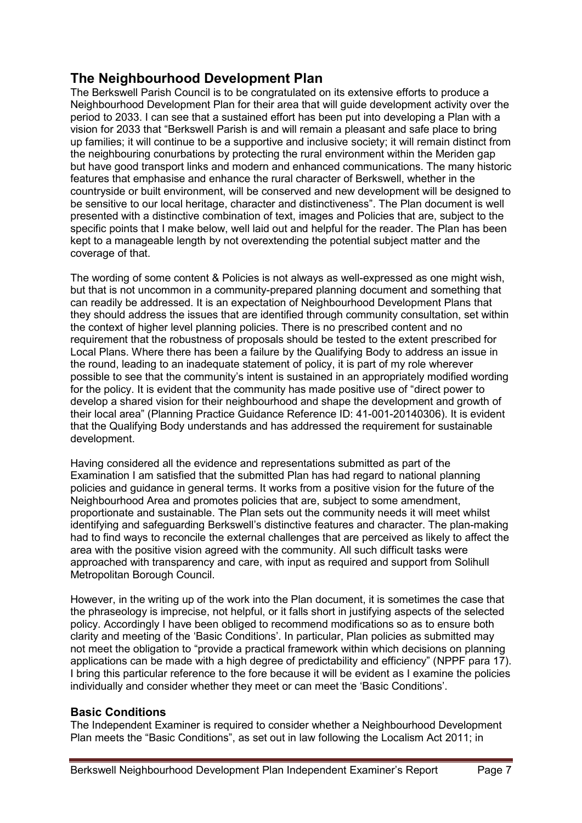## **The Neighbourhood Development Plan**

The Berkswell Parish Council is to be congratulated on its extensive efforts to produce a Neighbourhood Development Plan for their area that will guide development activity over the period to 2033. I can see that a sustained effort has been put into developing a Plan with a vision for 2033 that "Berkswell Parish is and will remain a pleasant and safe place to bring up families; it will continue to be a supportive and inclusive society; it will remain distinct from the neighbouring conurbations by protecting the rural environment within the Meriden gap but have good transport links and modern and enhanced communications. The many historic features that emphasise and enhance the rural character of Berkswell, whether in the countryside or built environment, will be conserved and new development will be designed to be sensitive to our local heritage, character and distinctiveness". The Plan document is well presented with a distinctive combination of text, images and Policies that are, subject to the specific points that I make below, well laid out and helpful for the reader. The Plan has been kept to a manageable length by not overextending the potential subject matter and the coverage of that.

The wording of some content & Policies is not always as well-expressed as one might wish, but that is not uncommon in a community-prepared planning document and something that can readily be addressed. It is an expectation of Neighbourhood Development Plans that they should address the issues that are identified through community consultation, set within the context of higher level planning policies. There is no prescribed content and no requirement that the robustness of proposals should be tested to the extent prescribed for Local Plans. Where there has been a failure by the Qualifying Body to address an issue in the round, leading to an inadequate statement of policy, it is part of my role wherever possible to see that the community's intent is sustained in an appropriately modified wording for the policy. It is evident that the community has made positive use of "direct power to develop a shared vision for their neighbourhood and shape the development and growth of their local area" (Planning Practice Guidance Reference ID: 41-001-20140306). It is evident that the Qualifying Body understands and has addressed the requirement for sustainable development.

Having considered all the evidence and representations submitted as part of the Examination I am satisfied that the submitted Plan has had regard to national planning policies and guidance in general terms. It works from a positive vision for the future of the Neighbourhood Area and promotes policies that are, subject to some amendment, proportionate and sustainable. The Plan sets out the community needs it will meet whilst identifying and safeguarding Berkswell's distinctive features and character. The plan-making had to find ways to reconcile the external challenges that are perceived as likely to affect the area with the positive vision agreed with the community. All such difficult tasks were approached with transparency and care, with input as required and support from Solihull Metropolitan Borough Council.

However, in the writing up of the work into the Plan document, it is sometimes the case that the phraseology is imprecise, not helpful, or it falls short in justifying aspects of the selected policy. Accordingly I have been obliged to recommend modifications so as to ensure both clarity and meeting of the 'Basic Conditions'. In particular, Plan policies as submitted may not meet the obligation to "provide a practical framework within which decisions on planning applications can be made with a high degree of predictability and efficiency" (NPPF para 17). I bring this particular reference to the fore because it will be evident as I examine the policies individually and consider whether they meet or can meet the 'Basic Conditions'.

## **Basic Conditions**

The Independent Examiner is required to consider whether a Neighbourhood Development Plan meets the "Basic Conditions", as set out in law following the Localism Act 2011; in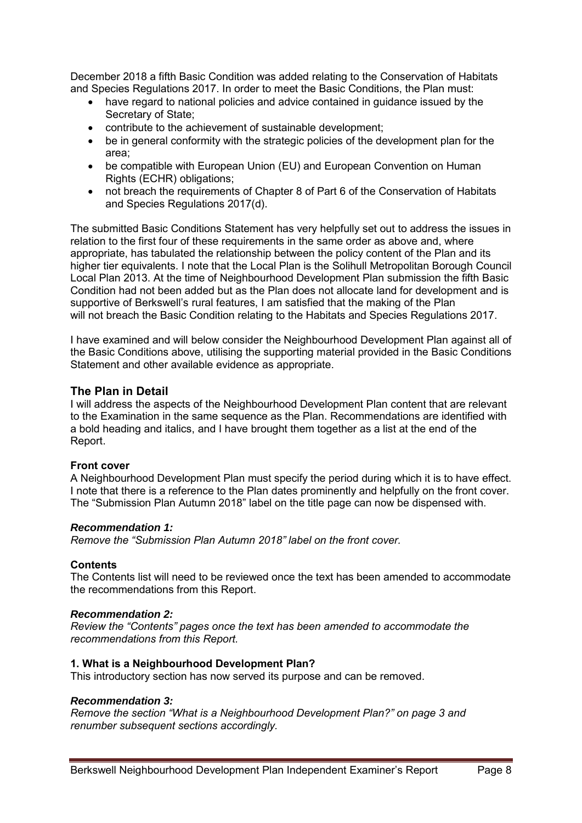December 2018 a fifth Basic Condition was added relating to the Conservation of Habitats and Species Regulations 2017. In order to meet the Basic Conditions, the Plan must:

- have regard to national policies and advice contained in guidance issued by the Secretary of State;
- contribute to the achievement of sustainable development;
- be in general conformity with the strategic policies of the development plan for the area;
- be compatible with European Union (EU) and European Convention on Human Rights (ECHR) obligations;
- not breach the requirements of Chapter 8 of Part 6 of the Conservation of Habitats and Species Regulations 2017(d).

The submitted Basic Conditions Statement has very helpfully set out to address the issues in relation to the first four of these requirements in the same order as above and, where appropriate, has tabulated the relationship between the policy content of the Plan and its higher tier equivalents. I note that the Local Plan is the Solihull Metropolitan Borough Council Local Plan 2013. At the time of Neighbourhood Development Plan submission the fifth Basic Condition had not been added but as the Plan does not allocate land for development and is supportive of Berkswell's rural features, I am satisfied that the making of the Plan will not breach the Basic Condition relating to the Habitats and Species Regulations 2017.

I have examined and will below consider the Neighbourhood Development Plan against all of the Basic Conditions above, utilising the supporting material provided in the Basic Conditions Statement and other available evidence as appropriate.

## **The Plan in Detail**

I will address the aspects of the Neighbourhood Development Plan content that are relevant to the Examination in the same sequence as the Plan. Recommendations are identified with a bold heading and italics, and I have brought them together as a list at the end of the Report.

#### **Front cover**

A Neighbourhood Development Plan must specify the period during which it is to have effect. I note that there is a reference to the Plan dates prominently and helpfully on the front cover. The "Submission Plan Autumn 2018" label on the title page can now be dispensed with.

#### *Recommendation 1:*

*Remove the "Submission Plan Autumn 2018" label on the front cover.* 

## **Contents**

The Contents list will need to be reviewed once the text has been amended to accommodate the recommendations from this Report.

#### *Recommendation 2:*

*Review the "Contents" pages once the text has been amended to accommodate the recommendations from this Report.* 

#### **1. What is a Neighbourhood Development Plan?**

This introductory section has now served its purpose and can be removed.

### *Recommendation 3:*

*Remove the section "What is a Neighbourhood Development Plan?" on page 3 and renumber subsequent sections accordingly.*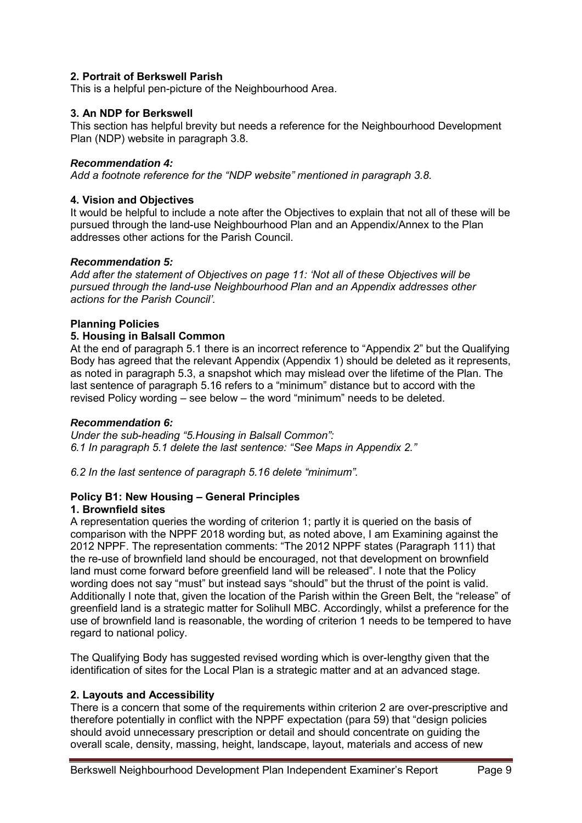## **2. Portrait of Berkswell Parish**

This is a helpful pen-picture of the Neighbourhood Area.

## **3. An NDP for Berkswell**

This section has helpful brevity but needs a reference for the Neighbourhood Development Plan (NDP) website in paragraph 3.8.

## *Recommendation 4:*

*Add a footnote reference for the "NDP website" mentioned in paragraph 3.8.* 

## **4. Vision and Objectives**

It would be helpful to include a note after the Objectives to explain that not all of these will be pursued through the land-use Neighbourhood Plan and an Appendix/Annex to the Plan addresses other actions for the Parish Council.

## *Recommendation 5:*

*Add after the statement of Objectives on page 11: 'Not all of these Objectives will be pursued through the land-use Neighbourhood Plan and an Appendix addresses other actions for the Parish Council'.* 

## **Planning Policies**

## **5. Housing in Balsall Common**

At the end of paragraph 5.1 there is an incorrect reference to "Appendix 2" but the Qualifying Body has agreed that the relevant Appendix (Appendix 1) should be deleted as it represents, as noted in paragraph 5.3, a snapshot which may mislead over the lifetime of the Plan. The last sentence of paragraph 5.16 refers to a "minimum" distance but to accord with the revised Policy wording – see below – the word "minimum" needs to be deleted.

## *Recommendation 6:*

*Under the sub-heading "5.Housing in Balsall Common": 6.1 In paragraph 5.1 delete the last sentence: "See Maps in Appendix 2."* 

*6.2 In the last sentence of paragraph 5.16 delete "minimum".* 

## **Policy B1: New Housing – General Principles**

## **1. Brownfield sites**

A representation queries the wording of criterion 1; partly it is queried on the basis of comparison with the NPPF 2018 wording but, as noted above, I am Examining against the 2012 NPPF. The representation comments: "The 2012 NPPF states (Paragraph 111) that the re-use of brownfield land should be encouraged, not that development on brownfield land must come forward before greenfield land will be released". I note that the Policy wording does not say "must" but instead says "should" but the thrust of the point is valid. Additionally I note that, given the location of the Parish within the Green Belt, the "release" of greenfield land is a strategic matter for Solihull MBC. Accordingly, whilst a preference for the use of brownfield land is reasonable, the wording of criterion 1 needs to be tempered to have regard to national policy.

The Qualifying Body has suggested revised wording which is over-lengthy given that the identification of sites for the Local Plan is a strategic matter and at an advanced stage.

## **2. Layouts and Accessibility**

There is a concern that some of the requirements within criterion 2 are over-prescriptive and therefore potentially in conflict with the NPPF expectation (para 59) that "design policies should avoid unnecessary prescription or detail and should concentrate on guiding the overall scale, density, massing, height, landscape, layout, materials and access of new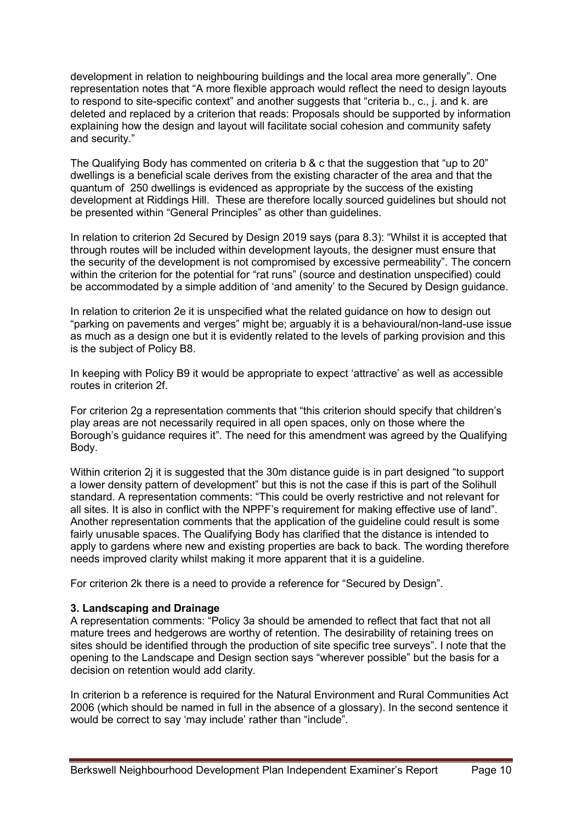development in relation to neighbouring buildings and the local area more generally". One representation notes that "A more flexible approach would reflect the need to design layouts to respond to site-specific context" and another suggests that "criteria b., c., j. and k. are deleted and replaced by a criterion that reads: Proposals should be supported by information explaining how the design and layout will facilitate social cohesion and community safety and security."

The Qualifying Body has commented on criteria b & c that the suggestion that "up to 20" dwellings is a beneficial scale derives from the existing character of the area and that the quantum of 250 dwellings is evidenced as appropriate by the success of the existing development at Riddings Hill. These are therefore locally sourced guidelines but should not be presented within "General Principles" as other than guidelines.

In relation to criterion 2d Secured by Design 2019 says (para 8.3): "Whilst it is accepted that through routes will be included within development layouts, the designer must ensure that the security of the development is not compromised by excessive permeability". The concern within the criterion for the potential for "rat runs" (source and destination unspecified) could be accommodated by a simple addition of 'and amenity' to the Secured by Design guidance.

In relation to criterion 2e it is unspecified what the related guidance on how to design out "parking on pavements and verges" might be; arguably it is a behavioural/non-land-use issue as much as a design one but it is evidently related to the levels of parking provision and this is the subject of Policy B8.

In keeping with Policy B9 it would be appropriate to expect 'attractive' as well as accessible routes in criterion 2f.

For criterion 2g a representation comments that "this criterion should specify that children's play areas are not necessarily required in all open spaces, only on those where the Borough's guidance requires it". The need for this amendment was agreed by the Qualifying Body.

Within criterion 2j it is suggested that the 30m distance guide is in part designed "to support a lower density pattern of development" but this is not the case if this is part of the Solihull standard. A representation comments: "This could be overly restrictive and not relevant for all sites. It is also in conflict with the NPPF's requirement for making effective use of land". Another representation comments that the application of the guideline could result is some fairly unusable spaces. The Qualifying Body has clarified that the distance is intended to apply to gardens where new and existing properties are back to back. The wording therefore needs improved clarity whilst making it more apparent that it is a guideline.

For criterion 2k there is a need to provide a reference for "Secured by Design".

## **3. Landscaping and Drainage**

A representation comments: "Policy 3a should be amended to reflect that fact that not all mature trees and hedgerows are worthy of retention. The desirability of retaining trees on sites should be identified through the production of site specific tree surveys". I note that the opening to the Landscape and Design section says "wherever possible" but the basis for a decision on retention would add clarity.

In criterion b a reference is required for the Natural Environment and Rural Communities Act 2006 (which should be named in full in the absence of a glossary). In the second sentence it would be correct to say 'may include' rather than "include".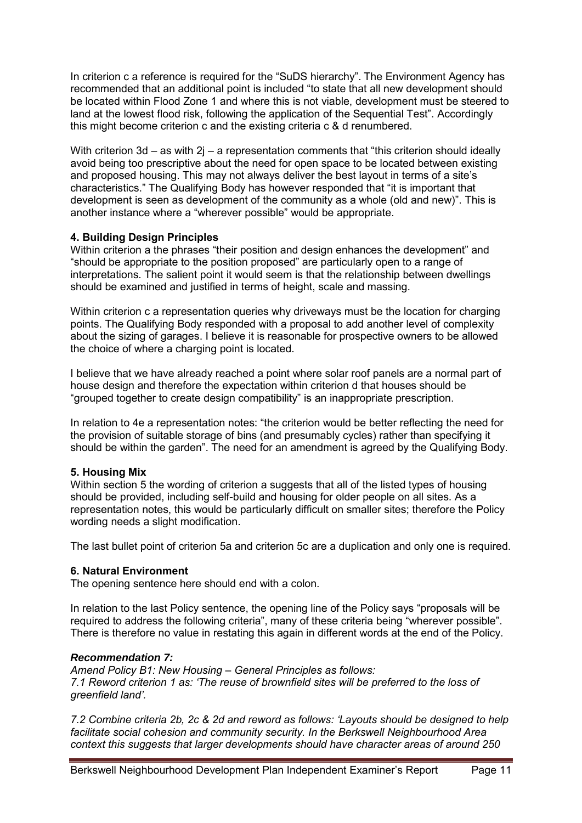In criterion c a reference is required for the "SuDS hierarchy". The Environment Agency has recommended that an additional point is included "to state that all new development should be located within Flood Zone 1 and where this is not viable, development must be steered to land at the lowest flood risk, following the application of the Sequential Test". Accordingly this might become criterion c and the existing criteria c & d renumbered.

With criterion 3d – as with  $2i$  – a representation comments that "this criterion should ideally avoid being too prescriptive about the need for open space to be located between existing and proposed housing. This may not always deliver the best layout in terms of a site's characteristics." The Qualifying Body has however responded that "it is important that development is seen as development of the community as a whole (old and new)". This is another instance where a "wherever possible" would be appropriate.

## **4. Building Design Principles**

Within criterion a the phrases "their position and design enhances the development" and "should be appropriate to the position proposed" are particularly open to a range of interpretations. The salient point it would seem is that the relationship between dwellings should be examined and justified in terms of height, scale and massing.

Within criterion c a representation queries why driveways must be the location for charging points. The Qualifying Body responded with a proposal to add another level of complexity about the sizing of garages. I believe it is reasonable for prospective owners to be allowed the choice of where a charging point is located.

I believe that we have already reached a point where solar roof panels are a normal part of house design and therefore the expectation within criterion d that houses should be "grouped together to create design compatibility" is an inappropriate prescription.

In relation to 4e a representation notes: "the criterion would be better reflecting the need for the provision of suitable storage of bins (and presumably cycles) rather than specifying it should be within the garden". The need for an amendment is agreed by the Qualifying Body.

## **5. Housing Mix**

Within section 5 the wording of criterion a suggests that all of the listed types of housing should be provided, including self-build and housing for older people on all sites. As a representation notes, this would be particularly difficult on smaller sites; therefore the Policy wording needs a slight modification.

The last bullet point of criterion 5a and criterion 5c are a duplication and only one is required.

## **6. Natural Environment**

The opening sentence here should end with a colon.

In relation to the last Policy sentence, the opening line of the Policy says "proposals will be required to address the following criteria", many of these criteria being "wherever possible". There is therefore no value in restating this again in different words at the end of the Policy.

## *Recommendation 7:*

*Amend Policy B1: New Housing – General Principles as follows: 7.1 Reword criterion 1 as: 'The reuse of brownfield sites will be preferred to the loss of greenfield land'.* 

*7.2 Combine criteria 2b, 2c & 2d and reword as follows: 'Layouts should be designed to help facilitate social cohesion and community security. In the Berkswell Neighbourhood Area context this suggests that larger developments should have character areas of around 250*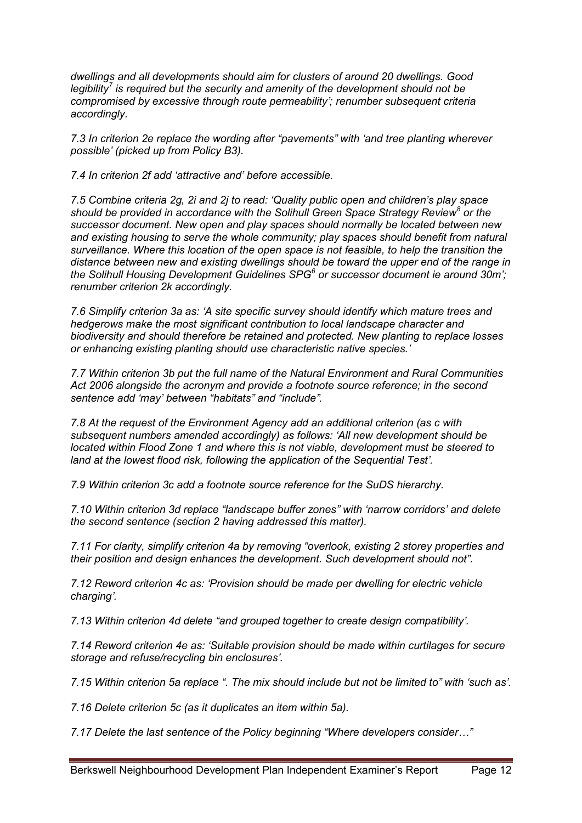*dwellings and all developments should aim for clusters of around 20 dwellings. Good legibility<sup>7</sup> is required but the security and amenity of the development should not be compromised by excessive through route permeability'; renumber subsequent criteria accordingly.* 

*7.3 In criterion 2e replace the wording after "pavements" with 'and tree planting wherever possible' (picked up from Policy B3).* 

*7.4 In criterion 2f add 'attractive and' before accessible.* 

*7.5 Combine criteria 2g, 2i and 2j to read: 'Quality public open and children's play space should be provided in accordance with the Solihull Green Space Strategy Review<sup>8</sup> or the successor document. New open and play spaces should normally be located between new and existing housing to serve the whole community; play spaces should benefit from natural surveillance. Where this location of the open space is not feasible, to help the transition the distance between new and existing dwellings should be toward the upper end of the range in*  the Solihull Housing Development Guidelines SPG<sup>6</sup> or successor document ie around 30m'; *renumber criterion 2k accordingly.* 

*7.6 Simplify criterion 3a as: 'A site specific survey should identify which mature trees and hedgerows make the most significant contribution to local landscape character and biodiversity and should therefore be retained and protected. New planting to replace losses or enhancing existing planting should use characteristic native species.'* 

*7.7 Within criterion 3b put the full name of the Natural Environment and Rural Communities Act 2006 alongside the acronym and provide a footnote source reference; in the second sentence add 'may' between "habitats" and "include".* 

*7.8 At the request of the Environment Agency add an additional criterion (as c with subsequent numbers amended accordingly) as follows: 'All new development should be located within Flood Zone 1 and where this is not viable, development must be steered to land at the lowest flood risk, following the application of the Sequential Test'.*

*7.9 Within criterion 3c add a footnote source reference for the SuDS hierarchy.* 

*7.10 Within criterion 3d replace "landscape buffer zones" with 'narrow corridors' and delete the second sentence (section 2 having addressed this matter).* 

*7.11 For clarity, simplify criterion 4a by removing "overlook, existing 2 storey properties and their position and design enhances the development. Such development should not".* 

*7.12 Reword criterion 4c as: 'Provision should be made per dwelling for electric vehicle charging'.* 

*7.13 Within criterion 4d delete "and grouped together to create design compatibility'.*

*7.14 Reword criterion 4e as: 'Suitable provision should be made within curtilages for secure storage and refuse/recycling bin enclosures'.* 

*7.15 Within criterion 5a replace ". The mix should include but not be limited to" with 'such as'.* 

*7.16 Delete criterion 5c (as it duplicates an item within 5a).* 

*7.17 Delete the last sentence of the Policy beginning "Where developers consider…"*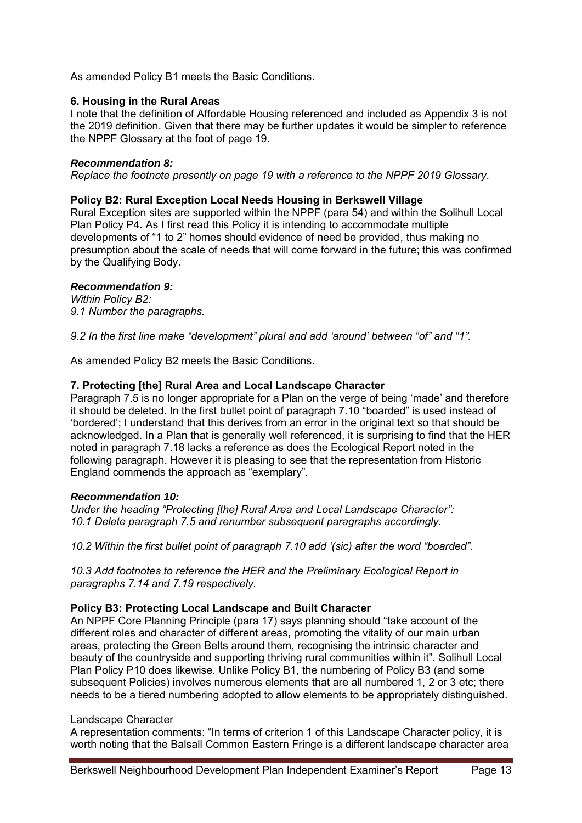As amended Policy B1 meets the Basic Conditions.

### **6. Housing in the Rural Areas**

I note that the definition of Affordable Housing referenced and included as Appendix 3 is not the 2019 definition. Given that there may be further updates it would be simpler to reference the NPPF Glossary at the foot of page 19.

### *Recommendation 8:*

*Replace the footnote presently on page 19 with a reference to the NPPF 2019 Glossary.*

## **Policy B2: Rural Exception Local Needs Housing in Berkswell Village**

Rural Exception sites are supported within the NPPF (para 54) and within the Solihull Local Plan Policy P4. As I first read this Policy it is intending to accommodate multiple developments of "1 to 2" homes should evidence of need be provided, thus making no presumption about the scale of needs that will come forward in the future; this was confirmed by the Qualifying Body.

## *Recommendation 9:*

*Within Policy B2: 9.1 Number the paragraphs.* 

*9.2 In the first line make "development" plural and add 'around' between "of" and "1".* 

As amended Policy B2 meets the Basic Conditions.

## **7. Protecting [the] Rural Area and Local Landscape Character**

Paragraph 7.5 is no longer appropriate for a Plan on the verge of being 'made' and therefore it should be deleted. In the first bullet point of paragraph 7.10 "boarded" is used instead of 'bordered'; I understand that this derives from an error in the original text so that should be acknowledged. In a Plan that is generally well referenced, it is surprising to find that the HER noted in paragraph 7.18 lacks a reference as does the Ecological Report noted in the following paragraph. However it is pleasing to see that the representation from Historic England commends the approach as "exemplary".

#### *Recommendation 10:*

*Under the heading "Protecting [the] Rural Area and Local Landscape Character": 10.1 Delete paragraph 7.5 and renumber subsequent paragraphs accordingly.* 

*10.2 Within the first bullet point of paragraph 7.10 add '(sic) after the word "boarded".* 

*10.3 Add footnotes to reference the HER and the Preliminary Ecological Report in paragraphs 7.14 and 7.19 respectively.*

## **Policy B3: Protecting Local Landscape and Built Character**

An NPPF Core Planning Principle (para 17) says planning should "take account of the different roles and character of different areas, promoting the vitality of our main urban areas, protecting the Green Belts around them, recognising the intrinsic character and beauty of the countryside and supporting thriving rural communities within it". Solihull Local Plan Policy P10 does likewise. Unlike Policy B1, the numbering of Policy B3 (and some subsequent Policies) involves numerous elements that are all numbered 1, 2 or 3 etc; there needs to be a tiered numbering adopted to allow elements to be appropriately distinguished.

#### Landscape Character

A representation comments: "In terms of criterion 1 of this Landscape Character policy, it is worth noting that the Balsall Common Eastern Fringe is a different landscape character area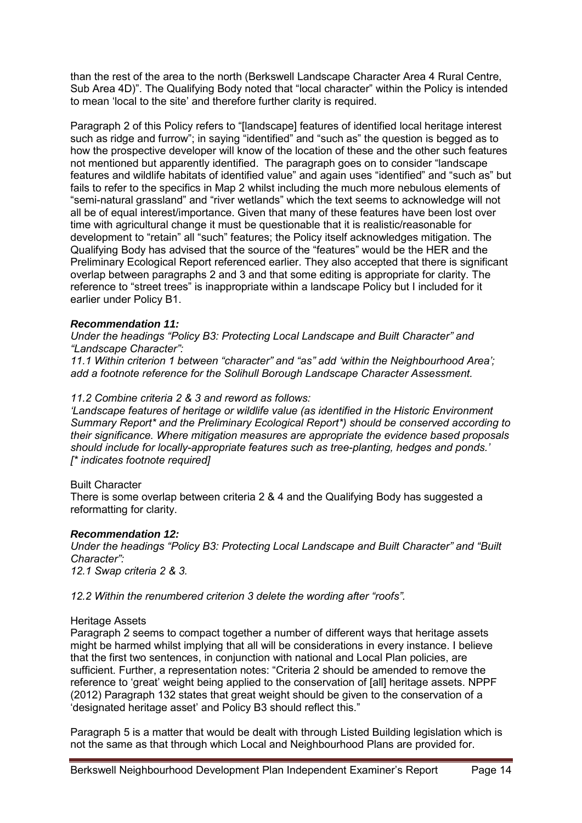than the rest of the area to the north (Berkswell Landscape Character Area 4 Rural Centre, Sub Area 4D)". The Qualifying Body noted that "local character" within the Policy is intended to mean 'local to the site' and therefore further clarity is required.

Paragraph 2 of this Policy refers to "[landscape] features of identified local heritage interest such as ridge and furrow"; in saying "identified" and "such as" the question is begged as to how the prospective developer will know of the location of these and the other such features not mentioned but apparently identified. The paragraph goes on to consider "landscape features and wildlife habitats of identified value" and again uses "identified" and "such as" but fails to refer to the specifics in Map 2 whilst including the much more nebulous elements of "semi-natural grassland" and "river wetlands" which the text seems to acknowledge will not all be of equal interest/importance. Given that many of these features have been lost over time with agricultural change it must be questionable that it is realistic/reasonable for development to "retain" all "such" features; the Policy itself acknowledges mitigation. The Qualifying Body has advised that the source of the "features" would be the HER and the Preliminary Ecological Report referenced earlier. They also accepted that there is significant overlap between paragraphs 2 and 3 and that some editing is appropriate for clarity. The reference to "street trees" is inappropriate within a landscape Policy but I included for it earlier under Policy B1.

#### *Recommendation 11:*

*Under the headings "Policy B3: Protecting Local Landscape and Built Character" and "Landscape Character":*

*11.1 Within criterion 1 between "character" and "as" add 'within the Neighbourhood Area'; add a footnote reference for the Solihull Borough Landscape Character Assessment.* 

#### *11.2 Combine criteria 2 & 3 and reword as follows:*

*'Landscape features of heritage or wildlife value (as identified in the Historic Environment Summary Report\* and the Preliminary Ecological Report\*) should be conserved according to their significance. Where mitigation measures are appropriate the evidence based proposals should include for locally-appropriate features such as tree-planting, hedges and ponds.' [\* indicates footnote required]* 

#### Built Character

There is some overlap between criteria 2 & 4 and the Qualifying Body has suggested a reformatting for clarity.

#### *Recommendation 12:*

*Under the headings "Policy B3: Protecting Local Landscape and Built Character" and "Built Character": 12.1 Swap criteria 2 & 3.* 

*12.2 Within the renumbered criterion 3 delete the wording after "roofs".* 

#### Heritage Assets

Paragraph 2 seems to compact together a number of different ways that heritage assets might be harmed whilst implying that all will be considerations in every instance. I believe that the first two sentences, in conjunction with national and Local Plan policies, are sufficient. Further, a representation notes: "Criteria 2 should be amended to remove the reference to 'great' weight being applied to the conservation of [all] heritage assets. NPPF (2012) Paragraph 132 states that great weight should be given to the conservation of a 'designated heritage asset' and Policy B3 should reflect this."

Paragraph 5 is a matter that would be dealt with through Listed Building legislation which is not the same as that through which Local and Neighbourhood Plans are provided for.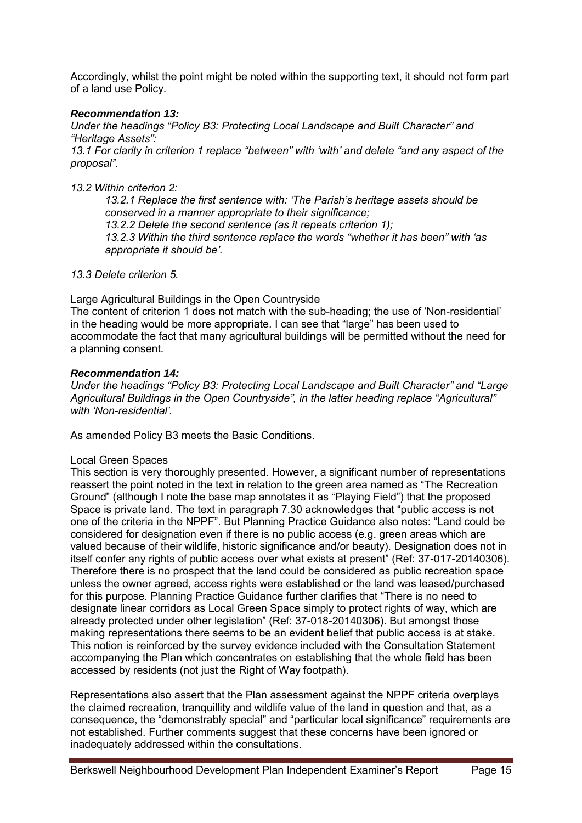Accordingly, whilst the point might be noted within the supporting text, it should not form part of a land use Policy.

## *Recommendation 13:*

*Under the headings "Policy B3: Protecting Local Landscape and Built Character" and "Heritage Assets":*

*13.1 For clarity in criterion 1 replace "between" with 'with' and delete "and any aspect of the proposal".*

*13.2 Within criterion 2:* 

*13.2.1 Replace the first sentence with: 'The Parish's heritage assets should be conserved in a manner appropriate to their significance; 13.2.2 Delete the second sentence (as it repeats criterion 1);* 

*13.2.3 Within the third sentence replace the words "whether it has been" with 'as appropriate it should be'.* 

*13.3 Delete criterion 5.* 

Large Agricultural Buildings in the Open Countryside

The content of criterion 1 does not match with the sub-heading; the use of 'Non-residential' in the heading would be more appropriate. I can see that "large" has been used to accommodate the fact that many agricultural buildings will be permitted without the need for a planning consent.

#### *Recommendation 14:*

*Under the headings "Policy B3: Protecting Local Landscape and Built Character" and "Large Agricultural Buildings in the Open Countryside", in the latter heading replace "Agricultural" with 'Non-residential'.* 

As amended Policy B3 meets the Basic Conditions.

#### Local Green Spaces

This section is very thoroughly presented. However, a significant number of representations reassert the point noted in the text in relation to the green area named as "The Recreation Ground" (although I note the base map annotates it as "Playing Field") that the proposed Space is private land. The text in paragraph 7.30 acknowledges that "public access is not one of the criteria in the NPPF". But Planning Practice Guidance also notes: "Land could be considered for designation even if there is no public access (e.g. green areas which are valued because of their wildlife, historic significance and/or beauty). Designation does not in itself confer any rights of public access over what exists at present" (Ref: 37-017-20140306). Therefore there is no prospect that the land could be considered as public recreation space unless the owner agreed, access rights were established or the land was leased/purchased for this purpose. Planning Practice Guidance further clarifies that "There is no need to designate linear corridors as Local Green Space simply to protect rights of way, which are already protected under other legislation" (Ref: 37-018-20140306). But amongst those making representations there seems to be an evident belief that public access is at stake. This notion is reinforced by the survey evidence included with the Consultation Statement accompanying the Plan which concentrates on establishing that the whole field has been accessed by residents (not just the Right of Way footpath).

Representations also assert that the Plan assessment against the NPPF criteria overplays the claimed recreation, tranquillity and wildlife value of the land in question and that, as a consequence, the "demonstrably special" and "particular local significance" requirements are not established. Further comments suggest that these concerns have been ignored or inadequately addressed within the consultations.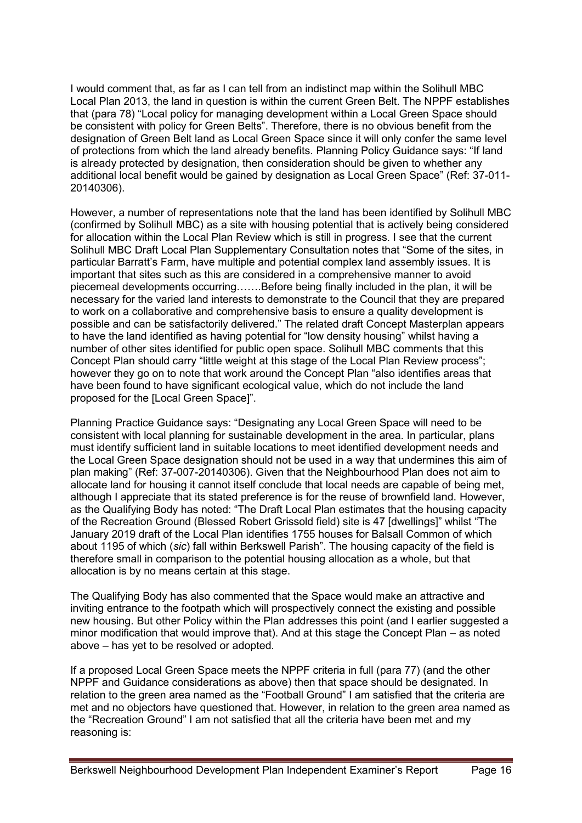I would comment that, as far as I can tell from an indistinct map within the Solihull MBC Local Plan 2013, the land in question is within the current Green Belt. The NPPF establishes that (para 78) "Local policy for managing development within a Local Green Space should be consistent with policy for Green Belts". Therefore, there is no obvious benefit from the designation of Green Belt land as Local Green Space since it will only confer the same level of protections from which the land already benefits. Planning Policy Guidance says: "If land is already protected by designation, then consideration should be given to whether any additional local benefit would be gained by designation as Local Green Space" (Ref: 37-011- 20140306).

However, a number of representations note that the land has been identified by Solihull MBC (confirmed by Solihull MBC) as a site with housing potential that is actively being considered for allocation within the Local Plan Review which is still in progress. I see that the current Solihull MBC Draft Local Plan Supplementary Consultation notes that "Some of the sites, in particular Barratt's Farm, have multiple and potential complex land assembly issues. It is important that sites such as this are considered in a comprehensive manner to avoid piecemeal developments occurring…….Before being finally included in the plan, it will be necessary for the varied land interests to demonstrate to the Council that they are prepared to work on a collaborative and comprehensive basis to ensure a quality development is possible and can be satisfactorily delivered." The related draft Concept Masterplan appears to have the land identified as having potential for "low density housing" whilst having a number of other sites identified for public open space. Solihull MBC comments that this Concept Plan should carry "little weight at this stage of the Local Plan Review process"; however they go on to note that work around the Concept Plan "also identifies areas that have been found to have significant ecological value, which do not include the land proposed for the [Local Green Space]".

Planning Practice Guidance says: "Designating any Local Green Space will need to be consistent with local planning for sustainable development in the area. In particular, plans must identify sufficient land in suitable locations to meet identified development needs and the Local Green Space designation should not be used in a way that undermines this aim of plan making" (Ref: 37-007-20140306). Given that the Neighbourhood Plan does not aim to allocate land for housing it cannot itself conclude that local needs are capable of being met, although I appreciate that its stated preference is for the reuse of brownfield land. However, as the Qualifying Body has noted: "The Draft Local Plan estimates that the housing capacity of the Recreation Ground (Blessed Robert Grissold field) site is 47 [dwellings]" whilst "The January 2019 draft of the Local Plan identifies 1755 houses for Balsall Common of which about 1195 of which (*sic*) fall within Berkswell Parish". The housing capacity of the field is therefore small in comparison to the potential housing allocation as a whole, but that allocation is by no means certain at this stage.

The Qualifying Body has also commented that the Space would make an attractive and inviting entrance to the footpath which will prospectively connect the existing and possible new housing. But other Policy within the Plan addresses this point (and I earlier suggested a minor modification that would improve that). And at this stage the Concept Plan – as noted above – has yet to be resolved or adopted.

If a proposed Local Green Space meets the NPPF criteria in full (para 77) (and the other NPPF and Guidance considerations as above) then that space should be designated. In relation to the green area named as the "Football Ground" I am satisfied that the criteria are met and no objectors have questioned that. However, in relation to the green area named as the "Recreation Ground" I am not satisfied that all the criteria have been met and my reasoning is: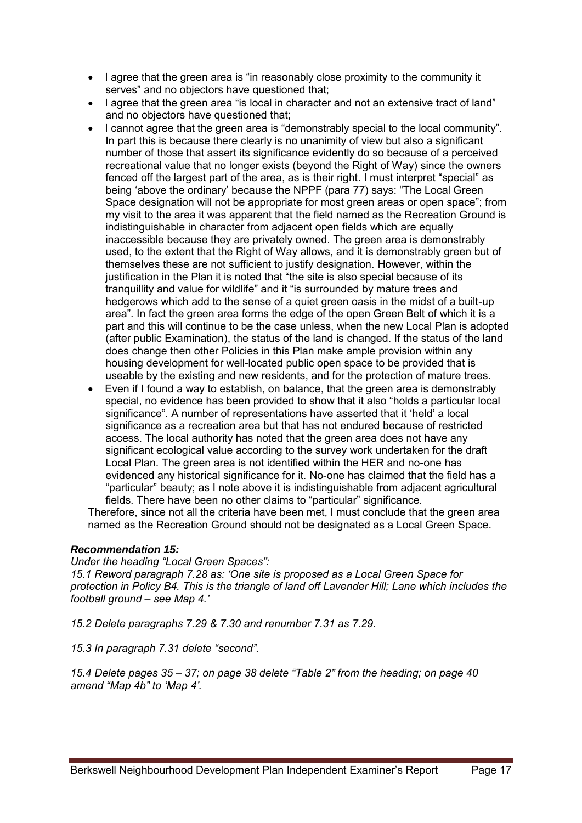- I agree that the green area is "in reasonably close proximity to the community it serves" and no objectors have questioned that;
- I agree that the green area "is local in character and not an extensive tract of land" and no objectors have questioned that;
- I cannot agree that the green area is "demonstrably special to the local community". In part this is because there clearly is no unanimity of view but also a significant number of those that assert its significance evidently do so because of a perceived recreational value that no longer exists (beyond the Right of Way) since the owners fenced off the largest part of the area, as is their right. I must interpret "special" as being 'above the ordinary' because the NPPF (para 77) says: "The Local Green Space designation will not be appropriate for most green areas or open space"; from my visit to the area it was apparent that the field named as the Recreation Ground is indistinguishable in character from adjacent open fields which are equally inaccessible because they are privately owned. The green area is demonstrably used, to the extent that the Right of Way allows, and it is demonstrably green but of themselves these are not sufficient to justify designation. However, within the justification in the Plan it is noted that "the site is also special because of its tranquillity and value for wildlife" and it "is surrounded by mature trees and hedgerows which add to the sense of a quiet green oasis in the midst of a built-up area". In fact the green area forms the edge of the open Green Belt of which it is a part and this will continue to be the case unless, when the new Local Plan is adopted (after public Examination), the status of the land is changed. If the status of the land does change then other Policies in this Plan make ample provision within any housing development for well-located public open space to be provided that is useable by the existing and new residents, and for the protection of mature trees.
- Even if I found a way to establish, on balance, that the green area is demonstrably special, no evidence has been provided to show that it also "holds a particular local significance". A number of representations have asserted that it 'held' a local significance as a recreation area but that has not endured because of restricted access. The local authority has noted that the green area does not have any significant ecological value according to the survey work undertaken for the draft Local Plan. The green area is not identified within the HER and no-one has evidenced any historical significance for it. No-one has claimed that the field has a "particular" beauty; as I note above it is indistinguishable from adjacent agricultural fields. There have been no other claims to "particular" significance.

Therefore, since not all the criteria have been met, I must conclude that the green area named as the Recreation Ground should not be designated as a Local Green Space.

## *Recommendation 15:*

*Under the heading "Local Green Spaces":* 

*15.1 Reword paragraph 7.28 as: 'One site is proposed as a Local Green Space for protection in Policy B4. This is the triangle of land off Lavender Hill; Lane which includes the football ground – see Map 4.'* 

*15.2 Delete paragraphs 7.29 & 7.30 and renumber 7.31 as 7.29.* 

*15.3 In paragraph 7.31 delete "second".* 

*15.4 Delete pages 35 – 37; on page 38 delete "Table 2" from the heading; on page 40 amend "Map 4b" to 'Map 4'.*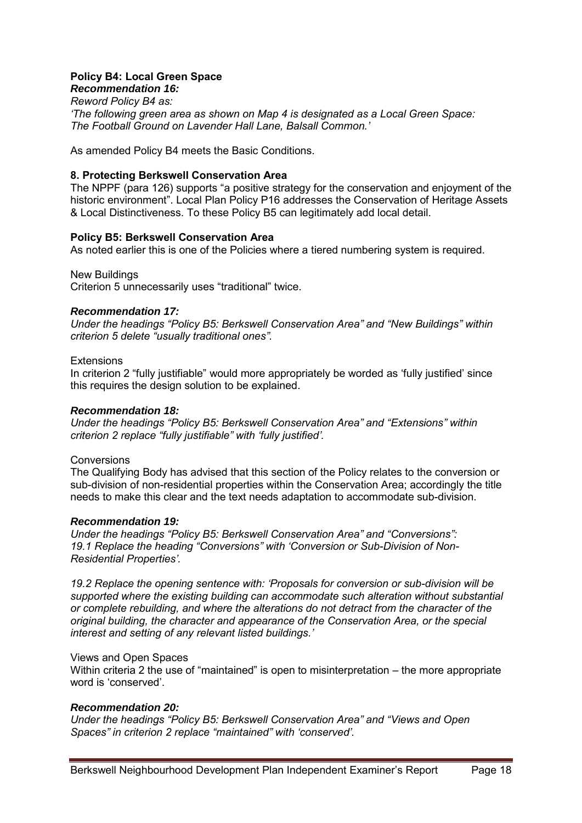#### **Policy B4: Local Green Space**  *Recommendation 16:*

*Reword Policy B4 as: 'The following green area as shown on Map 4 is designated as a Local Green Space: The Football Ground on Lavender Hall Lane, Balsall Common.'* 

As amended Policy B4 meets the Basic Conditions.

## **8. Protecting Berkswell Conservation Area**

The NPPF (para 126) supports "a positive strategy for the conservation and enjoyment of the historic environment". Local Plan Policy P16 addresses the Conservation of Heritage Assets & Local Distinctiveness. To these Policy B5 can legitimately add local detail.

## **Policy B5: Berkswell Conservation Area**

As noted earlier this is one of the Policies where a tiered numbering system is required.

New Buildings

Criterion 5 unnecessarily uses "traditional" twice.

#### *Recommendation 17:*

*Under the headings "Policy B5: Berkswell Conservation Area" and "New Buildings" within criterion 5 delete "usually traditional ones".* 

### **Extensions**

In criterion 2 "fully justifiable" would more appropriately be worded as 'fully justified' since this requires the design solution to be explained.

### *Recommendation 18:*

*Under the headings "Policy B5: Berkswell Conservation Area" and "Extensions" within criterion 2 replace "fully justifiable" with 'fully justified'.* 

#### **Conversions**

The Qualifying Body has advised that this section of the Policy relates to the conversion or sub-division of non-residential properties within the Conservation Area; accordingly the title needs to make this clear and the text needs adaptation to accommodate sub-division.

## *Recommendation 19:*

*Under the headings "Policy B5: Berkswell Conservation Area" and "Conversions": 19.1 Replace the heading "Conversions" with 'Conversion or Sub-Division of Non-Residential Properties'.* 

*19.2 Replace the opening sentence with: 'Proposals for conversion or sub-division will be supported where the existing building can accommodate such alteration without substantial or complete rebuilding, and where the alterations do not detract from the character of the original building, the character and appearance of the Conservation Area, or the special interest and setting of any relevant listed buildings.'*

#### Views and Open Spaces

Within criteria 2 the use of "maintained" is open to misinterpretation – the more appropriate word is 'conserved'.

## *Recommendation 20:*

*Under the headings "Policy B5: Berkswell Conservation Area" and "Views and Open Spaces" in criterion 2 replace "maintained" with 'conserved'.*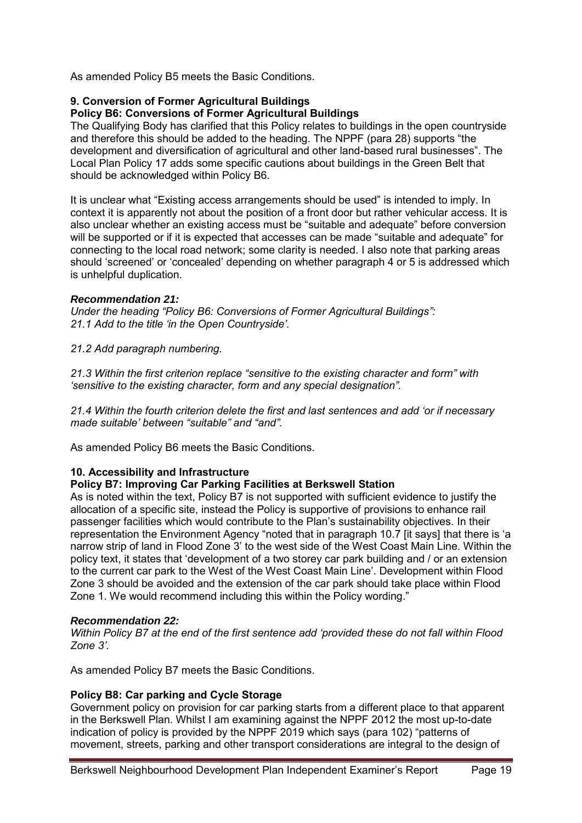As amended Policy B5 meets the Basic Conditions.

## **9. Conversion of Former Agricultural Buildings**

## **Policy B6: Conversions of Former Agricultural Buildings**

The Qualifying Body has clarified that this Policy relates to buildings in the open countryside and therefore this should be added to the heading. The NPPF (para 28) supports "the development and diversification of agricultural and other land-based rural businesses". The Local Plan Policy 17 adds some specific cautions about buildings in the Green Belt that should be acknowledged within Policy B6.

It is unclear what "Existing access arrangements should be used" is intended to imply. In context it is apparently not about the position of a front door but rather vehicular access. It is also unclear whether an existing access must be "suitable and adequate" before conversion will be supported or if it is expected that accesses can be made "suitable and adequate" for connecting to the local road network; some clarity is needed. I also note that parking areas should 'screened' or 'concealed' depending on whether paragraph 4 or 5 is addressed which is unhelpful duplication.

#### *Recommendation 21:*

*Under the heading "Policy B6: Conversions of Former Agricultural Buildings": 21.1 Add to the title 'in the Open Countryside'.* 

*21.2 Add paragraph numbering.* 

*21.3 Within the first criterion replace "sensitive to the existing character and form" with 'sensitive to the existing character, form and any special designation".* 

*21.4 Within the fourth criterion delete the first and last sentences and add 'or if necessary made suitable' between "suitable" and "and".* 

As amended Policy B6 meets the Basic Conditions.

#### **10. Accessibility and Infrastructure**

#### **Policy B7: Improving Car Parking Facilities at Berkswell Station**

As is noted within the text, Policy B7 is not supported with sufficient evidence to justify the allocation of a specific site, instead the Policy is supportive of provisions to enhance rail passenger facilities which would contribute to the Plan's sustainability objectives. In their representation the Environment Agency "noted that in paragraph 10.7 [it says] that there is 'a narrow strip of land in Flood Zone 3' to the west side of the West Coast Main Line. Within the policy text, it states that 'development of a two storey car park building and / or an extension to the current car park to the West of the West Coast Main Line'. Development within Flood Zone 3 should be avoided and the extension of the car park should take place within Flood Zone 1. We would recommend including this within the Policy wording."

#### *Recommendation 22:*

*Within Policy B7 at the end of the first sentence add 'provided these do not fall within Flood Zone 3'.*

As amended Policy B7 meets the Basic Conditions.

## **Policy B8: Car parking and Cycle Storage**

Government policy on provision for car parking starts from a different place to that apparent in the Berkswell Plan. Whilst I am examining against the NPPF 2012 the most up-to-date indication of policy is provided by the NPPF 2019 which says (para 102) "patterns of movement, streets, parking and other transport considerations are integral to the design of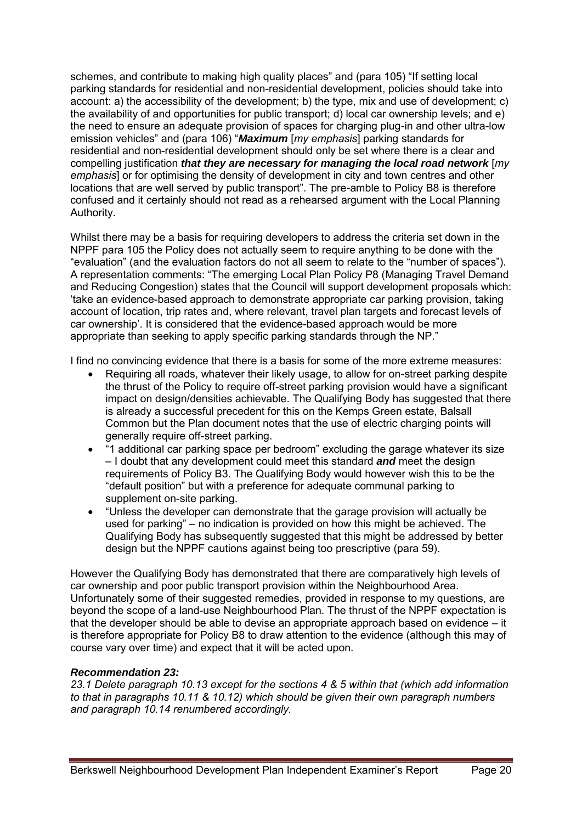schemes, and contribute to making high quality places" and (para 105) "If setting local parking standards for residential and non-residential development, policies should take into account: a) the accessibility of the development; b) the type, mix and use of development; c) the availability of and opportunities for public transport; d) local car ownership levels; and e) the need to ensure an adequate provision of spaces for charging plug-in and other ultra-low emission vehicles" and (para 106) "*Maximum* [*my emphasis*] parking standards for residential and non-residential development should only be set where there is a clear and compelling justification *that they are necessary for managing the local road network* [*my emphasis*] or for optimising the density of development in city and town centres and other locations that are well served by public transport". The pre-amble to Policy B8 is therefore confused and it certainly should not read as a rehearsed argument with the Local Planning Authority.

Whilst there may be a basis for requiring developers to address the criteria set down in the NPPF para 105 the Policy does not actually seem to require anything to be done with the "evaluation" (and the evaluation factors do not all seem to relate to the "number of spaces"). A representation comments: "The emerging Local Plan Policy P8 (Managing Travel Demand and Reducing Congestion) states that the Council will support development proposals which: 'take an evidence-based approach to demonstrate appropriate car parking provision, taking account of location, trip rates and, where relevant, travel plan targets and forecast levels of car ownership'. It is considered that the evidence-based approach would be more appropriate than seeking to apply specific parking standards through the NP."

I find no convincing evidence that there is a basis for some of the more extreme measures:

- Requiring all roads, whatever their likely usage, to allow for on-street parking despite the thrust of the Policy to require off-street parking provision would have a significant impact on design/densities achievable. The Qualifying Body has suggested that there is already a successful precedent for this on the Kemps Green estate, Balsall Common but the Plan document notes that the use of electric charging points will generally require off-street parking.
- "1 additional car parking space per bedroom" excluding the garage whatever its size – I doubt that any development could meet this standard *and* meet the design requirements of Policy B3. The Qualifying Body would however wish this to be the "default position" but with a preference for adequate communal parking to supplement on-site parking.
- "Unless the developer can demonstrate that the garage provision will actually be used for parking" – no indication is provided on how this might be achieved. The Qualifying Body has subsequently suggested that this might be addressed by better design but the NPPF cautions against being too prescriptive (para 59).

However the Qualifying Body has demonstrated that there are comparatively high levels of car ownership and poor public transport provision within the Neighbourhood Area. Unfortunately some of their suggested remedies, provided in response to my questions, are beyond the scope of a land-use Neighbourhood Plan. The thrust of the NPPF expectation is that the developer should be able to devise an appropriate approach based on evidence – it is therefore appropriate for Policy B8 to draw attention to the evidence (although this may of course vary over time) and expect that it will be acted upon.

## *Recommendation 23:*

*23.1 Delete paragraph 10.13 except for the sections 4 & 5 within that (which add information to that in paragraphs 10.11 & 10.12) which should be given their own paragraph numbers and paragraph 10.14 renumbered accordingly.*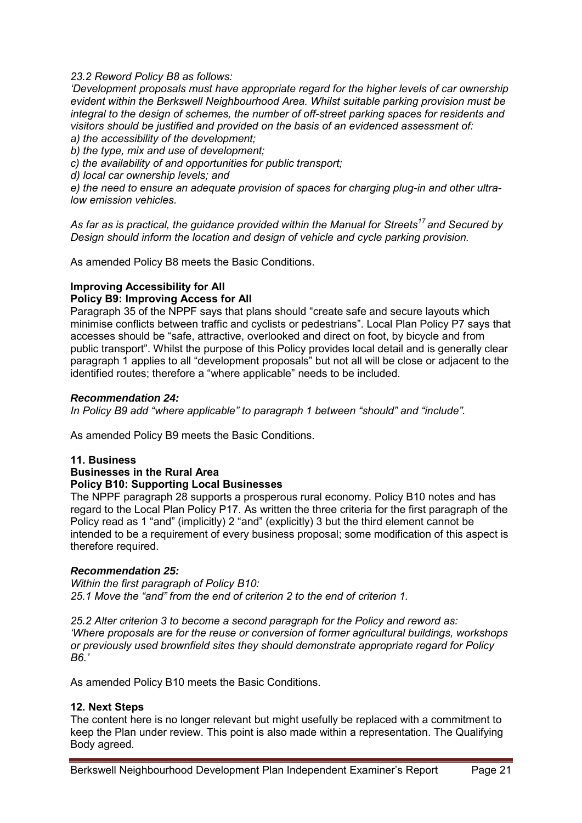#### *23.2 Reword Policy B8 as follows:*

*'Development proposals must have appropriate regard for the higher levels of car ownership evident within the Berkswell Neighbourhood Area. Whilst suitable parking provision must be integral to the design of schemes, the number of off-street parking spaces for residents and visitors should be justified and provided on the basis of an evidenced assessment of:* 

*a) the accessibility of the development;* 

*b) the type, mix and use of development;* 

*c) the availability of and opportunities for public transport;* 

*d) local car ownership levels; and* 

*e) the need to ensure an adequate provision of spaces for charging plug-in and other ultralow emission vehicles.* 

*As far as is practical, the guidance provided within the Manual for Streets<sup>17</sup> and Secured by Design should inform the location and design of vehicle and cycle parking provision.* 

As amended Policy B8 meets the Basic Conditions.

#### **Improving Accessibility for All**

## **Policy B9: Improving Access for All**

Paragraph 35 of the NPPF says that plans should "create safe and secure layouts which minimise conflicts between traffic and cyclists or pedestrians". Local Plan Policy P7 says that accesses should be "safe, attractive, overlooked and direct on foot, by bicycle and from public transport". Whilst the purpose of this Policy provides local detail and is generally clear paragraph 1 applies to all "development proposals" but not all will be close or adjacent to the identified routes; therefore a "where applicable" needs to be included.

#### *Recommendation 24:*

*In Policy B9 add "where applicable" to paragraph 1 between "should" and "include".* 

As amended Policy B9 meets the Basic Conditions.

#### **11. Business**

#### **Businesses in the Rural Area Policy B10: Supporting Local Businesses**

The NPPF paragraph 28 supports a prosperous rural economy. Policy B10 notes and has regard to the Local Plan Policy P17. As written the three criteria for the first paragraph of the Policy read as 1 "and" (implicitly) 2 "and" (explicitly) 3 but the third element cannot be intended to be a requirement of every business proposal; some modification of this aspect is therefore required.

#### *Recommendation 25:*

*Within the first paragraph of Policy B10: 25.1 Move the "and" from the end of criterion 2 to the end of criterion 1.* 

*25.2 Alter criterion 3 to become a second paragraph for the Policy and reword as: 'Where proposals are for the reuse or conversion of former agricultural buildings, workshops or previously used brownfield sites they should demonstrate appropriate regard for Policy B6.'* 

As amended Policy B10 meets the Basic Conditions.

#### **12. Next Steps**

The content here is no longer relevant but might usefully be replaced with a commitment to keep the Plan under review. This point is also made within a representation. The Qualifying Body agreed.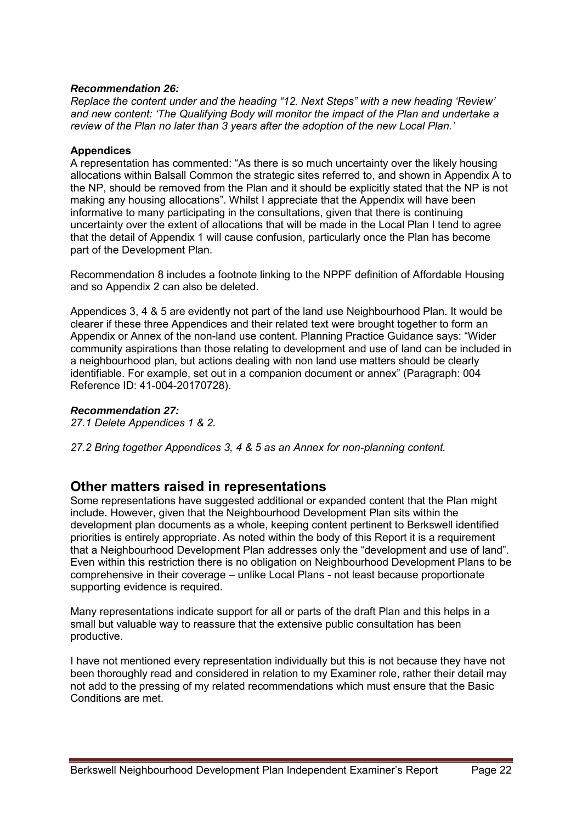## *Recommendation 26:*

*Replace the content under and the heading "12. Next Steps" with a new heading 'Review' and new content: 'The Qualifying Body will monitor the impact of the Plan and undertake a review of the Plan no later than 3 years after the adoption of the new Local Plan.'* 

## **Appendices**

A representation has commented: "As there is so much uncertainty over the likely housing allocations within Balsall Common the strategic sites referred to, and shown in Appendix A to the NP, should be removed from the Plan and it should be explicitly stated that the NP is not making any housing allocations". Whilst I appreciate that the Appendix will have been informative to many participating in the consultations, given that there is continuing uncertainty over the extent of allocations that will be made in the Local Plan I tend to agree that the detail of Appendix 1 will cause confusion, particularly once the Plan has become part of the Development Plan.

Recommendation 8 includes a footnote linking to the NPPF definition of Affordable Housing and so Appendix 2 can also be deleted.

Appendices 3, 4 & 5 are evidently not part of the land use Neighbourhood Plan. It would be clearer if these three Appendices and their related text were brought together to form an Appendix or Annex of the non-land use content. Planning Practice Guidance says: "Wider community aspirations than those relating to development and use of land can be included in a neighbourhood plan, but actions dealing with non land use matters should be clearly identifiable. For example, set out in a companion document or annex" (Paragraph: 004 Reference ID: 41-004-20170728).

## *Recommendation 27:*

*27.1 Delete Appendices 1 & 2.* 

*27.2 Bring together Appendices 3, 4 & 5 as an Annex for non-planning content.*

## **Other matters raised in representations**

Some representations have suggested additional or expanded content that the Plan might include. However, given that the Neighbourhood Development Plan sits within the development plan documents as a whole, keeping content pertinent to Berkswell identified priorities is entirely appropriate. As noted within the body of this Report it is a requirement that a Neighbourhood Development Plan addresses only the "development and use of land". Even within this restriction there is no obligation on Neighbourhood Development Plans to be comprehensive in their coverage – unlike Local Plans - not least because proportionate supporting evidence is required.

Many representations indicate support for all or parts of the draft Plan and this helps in a small but valuable way to reassure that the extensive public consultation has been productive.

I have not mentioned every representation individually but this is not because they have not been thoroughly read and considered in relation to my Examiner role, rather their detail may not add to the pressing of my related recommendations which must ensure that the Basic Conditions are met.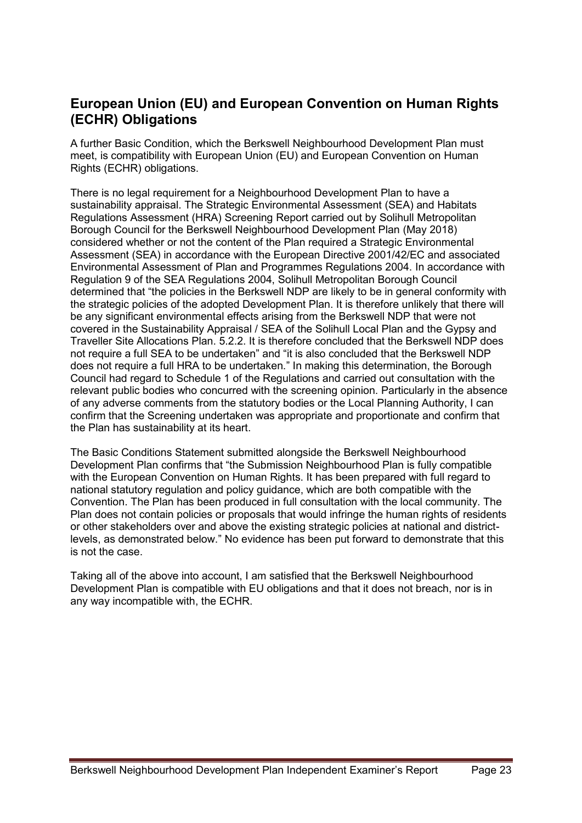## **European Union (EU) and European Convention on Human Rights (ECHR) Obligations**

A further Basic Condition, which the Berkswell Neighbourhood Development Plan must meet, is compatibility with European Union (EU) and European Convention on Human Rights (ECHR) obligations.

There is no legal requirement for a Neighbourhood Development Plan to have a sustainability appraisal. The Strategic Environmental Assessment (SEA) and Habitats Regulations Assessment (HRA) Screening Report carried out by Solihull Metropolitan Borough Council for the Berkswell Neighbourhood Development Plan (May 2018) considered whether or not the content of the Plan required a Strategic Environmental Assessment (SEA) in accordance with the European Directive 2001/42/EC and associated Environmental Assessment of Plan and Programmes Regulations 2004. In accordance with Regulation 9 of the SEA Regulations 2004, Solihull Metropolitan Borough Council determined that "the policies in the Berkswell NDP are likely to be in general conformity with the strategic policies of the adopted Development Plan. It is therefore unlikely that there will be any significant environmental effects arising from the Berkswell NDP that were not covered in the Sustainability Appraisal / SEA of the Solihull Local Plan and the Gypsy and Traveller Site Allocations Plan. 5.2.2. It is therefore concluded that the Berkswell NDP does not require a full SEA to be undertaken" and "it is also concluded that the Berkswell NDP does not require a full HRA to be undertaken." In making this determination, the Borough Council had regard to Schedule 1 of the Regulations and carried out consultation with the relevant public bodies who concurred with the screening opinion. Particularly in the absence of any adverse comments from the statutory bodies or the Local Planning Authority, I can confirm that the Screening undertaken was appropriate and proportionate and confirm that the Plan has sustainability at its heart.

The Basic Conditions Statement submitted alongside the Berkswell Neighbourhood Development Plan confirms that "the Submission Neighbourhood Plan is fully compatible with the European Convention on Human Rights. It has been prepared with full regard to national statutory regulation and policy guidance, which are both compatible with the Convention. The Plan has been produced in full consultation with the local community. The Plan does not contain policies or proposals that would infringe the human rights of residents or other stakeholders over and above the existing strategic policies at national and districtlevels, as demonstrated below." No evidence has been put forward to demonstrate that this is not the case.

Taking all of the above into account, I am satisfied that the Berkswell Neighbourhood Development Plan is compatible with EU obligations and that it does not breach, nor is in any way incompatible with, the ECHR.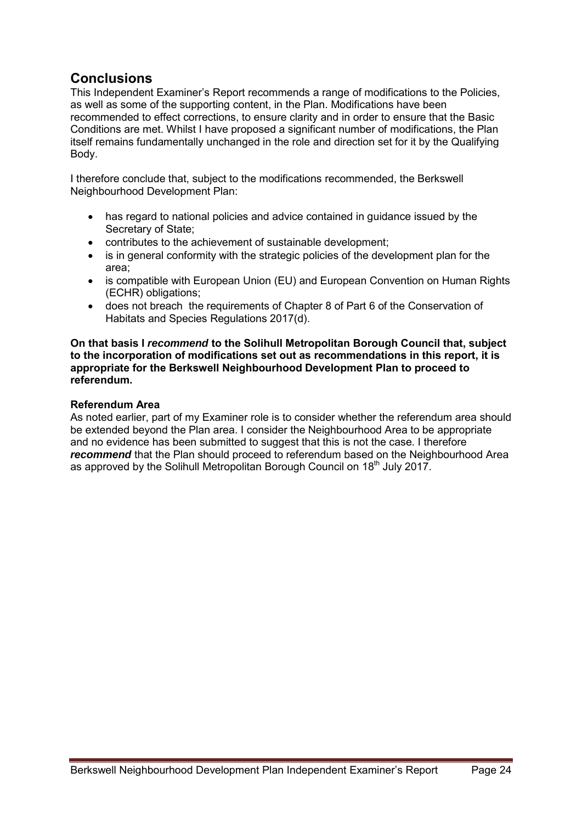## **Conclusions**

This Independent Examiner's Report recommends a range of modifications to the Policies, as well as some of the supporting content, in the Plan. Modifications have been recommended to effect corrections, to ensure clarity and in order to ensure that the Basic Conditions are met. Whilst I have proposed a significant number of modifications, the Plan itself remains fundamentally unchanged in the role and direction set for it by the Qualifying Body.

I therefore conclude that, subject to the modifications recommended, the Berkswell Neighbourhood Development Plan:

- has regard to national policies and advice contained in guidance issued by the Secretary of State;
- contributes to the achievement of sustainable development;
- is in general conformity with the strategic policies of the development plan for the area;
- is compatible with European Union (EU) and European Convention on Human Rights (ECHR) obligations;
- does not breach the requirements of Chapter 8 of Part 6 of the Conservation of Habitats and Species Regulations 2017(d).

**On that basis I** *recommend* **to the Solihull Metropolitan Borough Council that, subject to the incorporation of modifications set out as recommendations in this report, it is appropriate for the Berkswell Neighbourhood Development Plan to proceed to referendum.** 

## **Referendum Area**

As noted earlier, part of my Examiner role is to consider whether the referendum area should be extended beyond the Plan area. I consider the Neighbourhood Area to be appropriate and no evidence has been submitted to suggest that this is not the case. I therefore **recommend** that the Plan should proceed to referendum based on the Neighbourhood Area as approved by the Solihull Metropolitan Borough Council on  $18<sup>th</sup>$  July 2017.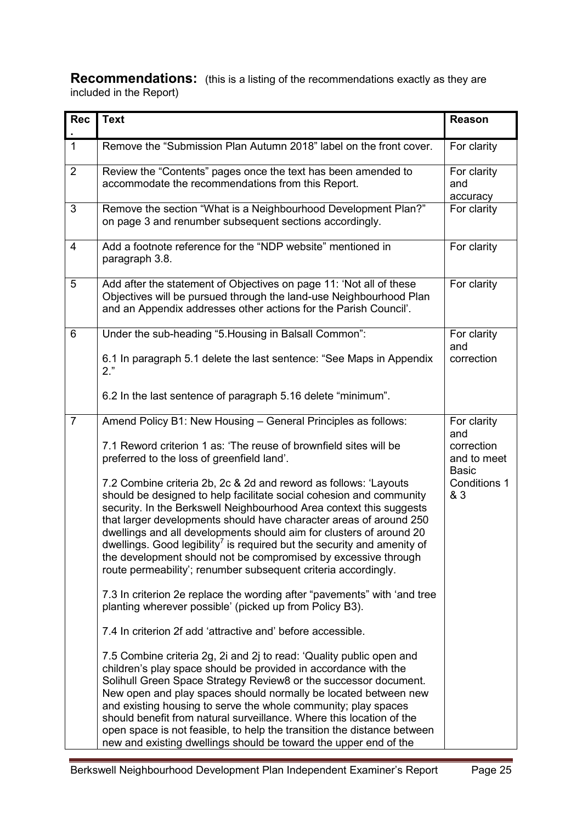**Recommendations:** (this is a listing of the recommendations exactly as they are included in the Report)

| <b>Rec</b>     | <b>Text</b>                                                                                                                                                                                                                                                                                                                                                                                                                                                                                                                                                                            | <b>Reason</b>                              |
|----------------|----------------------------------------------------------------------------------------------------------------------------------------------------------------------------------------------------------------------------------------------------------------------------------------------------------------------------------------------------------------------------------------------------------------------------------------------------------------------------------------------------------------------------------------------------------------------------------------|--------------------------------------------|
| $\mathbf{1}$   | Remove the "Submission Plan Autumn 2018" label on the front cover.                                                                                                                                                                                                                                                                                                                                                                                                                                                                                                                     | For clarity                                |
| $\overline{2}$ | Review the "Contents" pages once the text has been amended to<br>accommodate the recommendations from this Report.                                                                                                                                                                                                                                                                                                                                                                                                                                                                     | For clarity<br>and<br>accuracy             |
| 3              | Remove the section "What is a Neighbourhood Development Plan?"<br>on page 3 and renumber subsequent sections accordingly.                                                                                                                                                                                                                                                                                                                                                                                                                                                              | For clarity                                |
| $\overline{4}$ | Add a footnote reference for the "NDP website" mentioned in<br>paragraph 3.8.                                                                                                                                                                                                                                                                                                                                                                                                                                                                                                          | For clarity                                |
| 5              | Add after the statement of Objectives on page 11: 'Not all of these<br>Objectives will be pursued through the land-use Neighbourhood Plan<br>and an Appendix addresses other actions for the Parish Council'.                                                                                                                                                                                                                                                                                                                                                                          | For clarity                                |
| 6              | Under the sub-heading "5. Housing in Balsall Common":                                                                                                                                                                                                                                                                                                                                                                                                                                                                                                                                  | For clarity<br>and                         |
|                | 6.1 In paragraph 5.1 delete the last sentence: "See Maps in Appendix<br>$2.$ "                                                                                                                                                                                                                                                                                                                                                                                                                                                                                                         | correction                                 |
|                | 6.2 In the last sentence of paragraph 5.16 delete "minimum".                                                                                                                                                                                                                                                                                                                                                                                                                                                                                                                           |                                            |
| $\overline{7}$ | Amend Policy B1: New Housing - General Principles as follows:                                                                                                                                                                                                                                                                                                                                                                                                                                                                                                                          | For clarity<br>and                         |
|                | 7.1 Reword criterion 1 as: 'The reuse of brownfield sites will be<br>preferred to the loss of greenfield land'.                                                                                                                                                                                                                                                                                                                                                                                                                                                                        | correction<br>and to meet                  |
|                | 7.2 Combine criteria 2b, 2c & 2d and reword as follows: 'Layouts<br>should be designed to help facilitate social cohesion and community<br>security. In the Berkswell Neighbourhood Area context this suggests<br>that larger developments should have character areas of around 250<br>dwellings and all developments should aim for clusters of around 20<br>dwellings. Good legibility <sup>7</sup> is required but the security and amenity of<br>the development should not be compromised by excessive through<br>route permeability'; renumber subsequent criteria accordingly. | <b>Basic</b><br><b>Conditions 1</b><br>& 3 |
|                | 7.3 In criterion 2e replace the wording after "pavements" with 'and tree<br>planting wherever possible' (picked up from Policy B3).                                                                                                                                                                                                                                                                                                                                                                                                                                                    |                                            |
|                | 7.4 In criterion 2f add 'attractive and' before accessible.                                                                                                                                                                                                                                                                                                                                                                                                                                                                                                                            |                                            |
|                | 7.5 Combine criteria 2g, 2i and 2j to read: 'Quality public open and<br>children's play space should be provided in accordance with the<br>Solihull Green Space Strategy Review8 or the successor document.<br>New open and play spaces should normally be located between new<br>and existing housing to serve the whole community; play spaces<br>should benefit from natural surveillance. Where this location of the<br>open space is not feasible, to help the transition the distance between<br>new and existing dwellings should be toward the upper end of the                |                                            |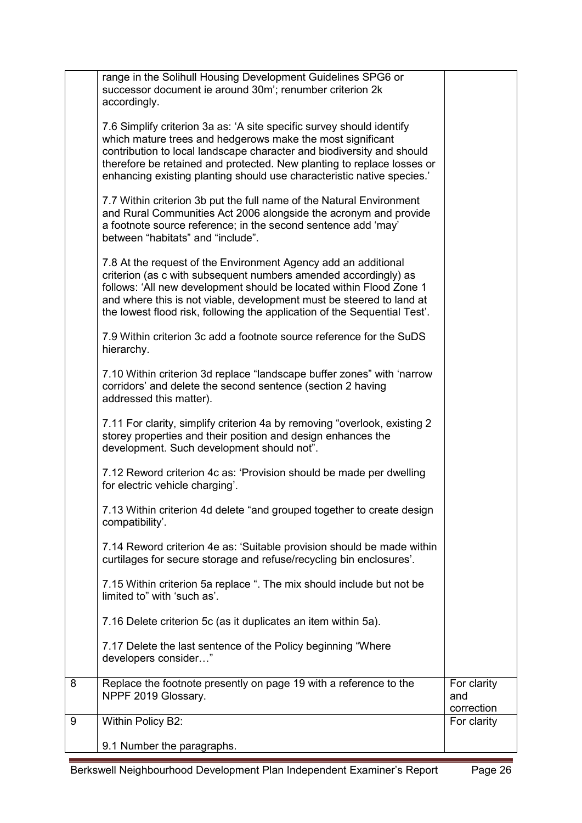|   | range in the Solihull Housing Development Guidelines SPG6 or<br>successor document ie around 30m'; renumber criterion 2k<br>accordingly.<br>7.6 Simplify criterion 3a as: 'A site specific survey should identify<br>which mature trees and hedgerows make the most significant<br>contribution to local landscape character and biodiversity and should<br>therefore be retained and protected. New planting to replace losses or<br>enhancing existing planting should use characteristic native species.'<br>7.7 Within criterion 3b put the full name of the Natural Environment<br>and Rural Communities Act 2006 alongside the acronym and provide<br>a footnote source reference; in the second sentence add 'may'<br>between "habitats" and "include".<br>7.8 At the request of the Environment Agency add an additional |                                  |
|---|----------------------------------------------------------------------------------------------------------------------------------------------------------------------------------------------------------------------------------------------------------------------------------------------------------------------------------------------------------------------------------------------------------------------------------------------------------------------------------------------------------------------------------------------------------------------------------------------------------------------------------------------------------------------------------------------------------------------------------------------------------------------------------------------------------------------------------|----------------------------------|
|   | criterion (as c with subsequent numbers amended accordingly) as<br>follows: 'All new development should be located within Flood Zone 1<br>and where this is not viable, development must be steered to land at<br>the lowest flood risk, following the application of the Sequential Test'.                                                                                                                                                                                                                                                                                                                                                                                                                                                                                                                                      |                                  |
|   | 7.9 Within criterion 3c add a footnote source reference for the SuDS<br>hierarchy.                                                                                                                                                                                                                                                                                                                                                                                                                                                                                                                                                                                                                                                                                                                                               |                                  |
|   | 7.10 Within criterion 3d replace "landscape buffer zones" with 'narrow<br>corridors' and delete the second sentence (section 2 having<br>addressed this matter).                                                                                                                                                                                                                                                                                                                                                                                                                                                                                                                                                                                                                                                                 |                                  |
|   | 7.11 For clarity, simplify criterion 4a by removing "overlook, existing 2<br>storey properties and their position and design enhances the<br>development. Such development should not".                                                                                                                                                                                                                                                                                                                                                                                                                                                                                                                                                                                                                                          |                                  |
|   | 7.12 Reword criterion 4c as: 'Provision should be made per dwelling<br>for electric vehicle charging'.                                                                                                                                                                                                                                                                                                                                                                                                                                                                                                                                                                                                                                                                                                                           |                                  |
|   | 7.13 Within criterion 4d delete "and grouped together to create design<br>compatibility'.                                                                                                                                                                                                                                                                                                                                                                                                                                                                                                                                                                                                                                                                                                                                        |                                  |
|   | 7.14 Reword criterion 4e as: 'Suitable provision should be made within<br>curtilages for secure storage and refuse/recycling bin enclosures'.                                                                                                                                                                                                                                                                                                                                                                                                                                                                                                                                                                                                                                                                                    |                                  |
|   | 7.15 Within criterion 5a replace ". The mix should include but not be<br>limited to" with 'such as'.                                                                                                                                                                                                                                                                                                                                                                                                                                                                                                                                                                                                                                                                                                                             |                                  |
|   | 7.16 Delete criterion 5c (as it duplicates an item within 5a).                                                                                                                                                                                                                                                                                                                                                                                                                                                                                                                                                                                                                                                                                                                                                                   |                                  |
|   | 7.17 Delete the last sentence of the Policy beginning "Where<br>developers consider"                                                                                                                                                                                                                                                                                                                                                                                                                                                                                                                                                                                                                                                                                                                                             |                                  |
| 8 | Replace the footnote presently on page 19 with a reference to the<br>NPPF 2019 Glossary.                                                                                                                                                                                                                                                                                                                                                                                                                                                                                                                                                                                                                                                                                                                                         | For clarity<br>and<br>correction |
| 9 | Within Policy B2:                                                                                                                                                                                                                                                                                                                                                                                                                                                                                                                                                                                                                                                                                                                                                                                                                | For clarity                      |
|   | 9.1 Number the paragraphs.                                                                                                                                                                                                                                                                                                                                                                                                                                                                                                                                                                                                                                                                                                                                                                                                       |                                  |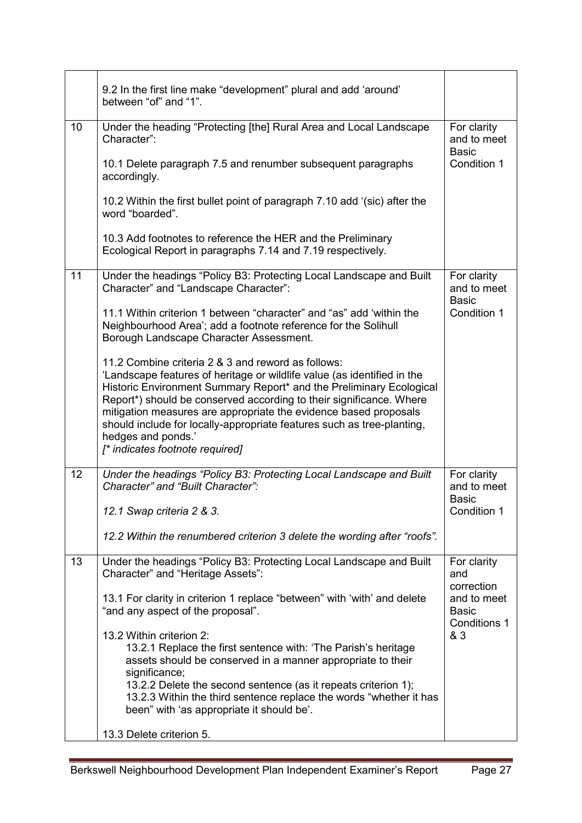|    | 9.2 In the first line make "development" plural and add 'around'<br>between "of" and "1".                                                                                                                                                                                                                                                                                                                                                                                          |                                                    |
|----|------------------------------------------------------------------------------------------------------------------------------------------------------------------------------------------------------------------------------------------------------------------------------------------------------------------------------------------------------------------------------------------------------------------------------------------------------------------------------------|----------------------------------------------------|
| 10 | Under the heading "Protecting [the] Rural Area and Local Landscape<br>Character":                                                                                                                                                                                                                                                                                                                                                                                                  | For clarity<br>and to meet<br><b>Basic</b>         |
|    | 10.1 Delete paragraph 7.5 and renumber subsequent paragraphs<br>accordingly.                                                                                                                                                                                                                                                                                                                                                                                                       | Condition 1                                        |
|    | 10.2 Within the first bullet point of paragraph 7.10 add '(sic) after the<br>word "boarded".                                                                                                                                                                                                                                                                                                                                                                                       |                                                    |
|    | 10.3 Add footnotes to reference the HER and the Preliminary<br>Ecological Report in paragraphs 7.14 and 7.19 respectively.                                                                                                                                                                                                                                                                                                                                                         |                                                    |
| 11 | Under the headings "Policy B3: Protecting Local Landscape and Built<br>Character" and "Landscape Character":                                                                                                                                                                                                                                                                                                                                                                       | For clarity<br>and to meet<br><b>Basic</b>         |
|    | 11.1 Within criterion 1 between "character" and "as" add 'within the<br>Neighbourhood Area'; add a footnote reference for the Solihull<br>Borough Landscape Character Assessment.                                                                                                                                                                                                                                                                                                  | Condition 1                                        |
|    | 11.2 Combine criteria 2 & 3 and reword as follows:<br>'Landscape features of heritage or wildlife value (as identified in the<br>Historic Environment Summary Report* and the Preliminary Ecological<br>Report*) should be conserved according to their significance. Where<br>mitigation measures are appropriate the evidence based proposals<br>should include for locally-appropriate features such as tree-planting,<br>hedges and ponds.'<br>[* indicates footnote required] |                                                    |
| 12 | Under the headings "Policy B3: Protecting Local Landscape and Built<br>Character" and "Built Character":                                                                                                                                                                                                                                                                                                                                                                           | For clarity<br>and to meet<br>Basic                |
|    | 12.1 Swap criteria 2 & 3.                                                                                                                                                                                                                                                                                                                                                                                                                                                          | Condition 1                                        |
|    | 12.2 Within the renumbered criterion 3 delete the wording after "roofs".                                                                                                                                                                                                                                                                                                                                                                                                           |                                                    |
| 13 | Under the headings "Policy B3: Protecting Local Landscape and Built<br>Character" and "Heritage Assets":                                                                                                                                                                                                                                                                                                                                                                           | For clarity<br>and<br>correction                   |
|    | 13.1 For clarity in criterion 1 replace "between" with 'with' and delete<br>"and any aspect of the proposal".                                                                                                                                                                                                                                                                                                                                                                      | and to meet<br><b>Basic</b><br><b>Conditions 1</b> |
|    | 13.2 Within criterion 2:<br>13.2.1 Replace the first sentence with: 'The Parish's heritage<br>assets should be conserved in a manner appropriate to their<br>significance;                                                                                                                                                                                                                                                                                                         | & 3                                                |
|    | 13.2.2 Delete the second sentence (as it repeats criterion 1);<br>13.2.3 Within the third sentence replace the words "whether it has<br>been" with 'as appropriate it should be'.                                                                                                                                                                                                                                                                                                  |                                                    |
|    | 13.3 Delete criterion 5.                                                                                                                                                                                                                                                                                                                                                                                                                                                           |                                                    |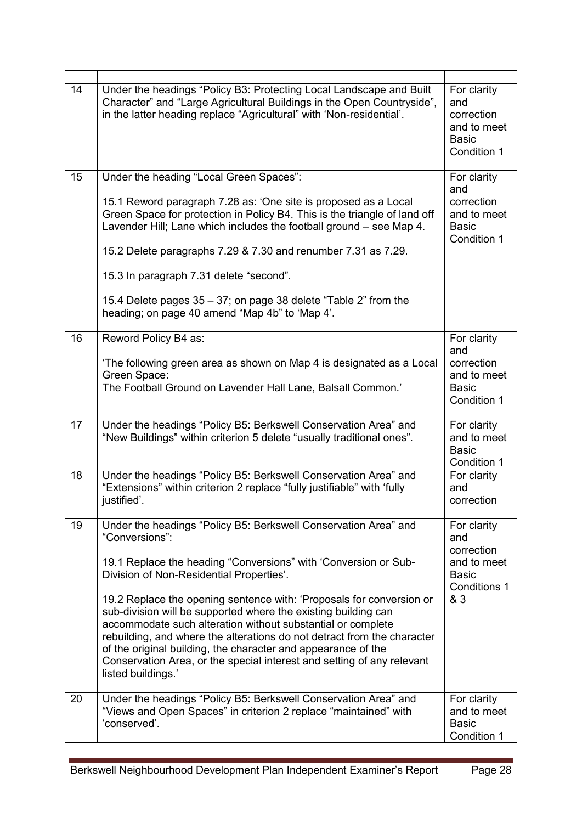| 14 | Under the headings "Policy B3: Protecting Local Landscape and Built<br>Character" and "Large Agricultural Buildings in the Open Countryside",<br>in the latter heading replace "Agricultural" with 'Non-residential'.                                                                                                                                                                                                                             | For clarity<br>and<br>correction<br>and to meet<br><b>Basic</b><br>Condition 1 |
|----|---------------------------------------------------------------------------------------------------------------------------------------------------------------------------------------------------------------------------------------------------------------------------------------------------------------------------------------------------------------------------------------------------------------------------------------------------|--------------------------------------------------------------------------------|
| 15 | Under the heading "Local Green Spaces":                                                                                                                                                                                                                                                                                                                                                                                                           | For clarity                                                                    |
|    | 15.1 Reword paragraph 7.28 as: 'One site is proposed as a Local<br>Green Space for protection in Policy B4. This is the triangle of land off<br>Lavender Hill; Lane which includes the football ground - see Map 4.                                                                                                                                                                                                                               | and<br>correction<br>and to meet<br><b>Basic</b><br>Condition 1                |
|    | 15.2 Delete paragraphs 7.29 & 7.30 and renumber 7.31 as 7.29.                                                                                                                                                                                                                                                                                                                                                                                     |                                                                                |
|    | 15.3 In paragraph 7.31 delete "second".                                                                                                                                                                                                                                                                                                                                                                                                           |                                                                                |
|    | 15.4 Delete pages 35 – 37; on page 38 delete "Table 2" from the<br>heading; on page 40 amend "Map 4b" to 'Map 4'.                                                                                                                                                                                                                                                                                                                                 |                                                                                |
| 16 | Reword Policy B4 as:                                                                                                                                                                                                                                                                                                                                                                                                                              | For clarity                                                                    |
|    | 'The following green area as shown on Map 4 is designated as a Local<br>Green Space:<br>The Football Ground on Lavender Hall Lane, Balsall Common.'                                                                                                                                                                                                                                                                                               | and<br>correction<br>and to meet<br><b>Basic</b><br>Condition 1                |
| 17 | Under the headings "Policy B5: Berkswell Conservation Area" and<br>"New Buildings" within criterion 5 delete "usually traditional ones".                                                                                                                                                                                                                                                                                                          | For clarity<br>and to meet<br><b>Basic</b><br>Condition 1                      |
| 18 | Under the headings "Policy B5: Berkswell Conservation Area" and<br>"Extensions" within criterion 2 replace "fully justifiable" with 'fully<br>justified'.                                                                                                                                                                                                                                                                                         | For clarity<br>and<br>correction                                               |
| 19 | Under the headings "Policy B5: Berkswell Conservation Area" and<br>"Conversions":                                                                                                                                                                                                                                                                                                                                                                 | For clarity<br>and                                                             |
|    | 19.1 Replace the heading "Conversions" with 'Conversion or Sub-<br>Division of Non-Residential Properties'.                                                                                                                                                                                                                                                                                                                                       | correction<br>and to meet<br><b>Basic</b><br><b>Conditions 1</b>               |
|    | 19.2 Replace the opening sentence with: 'Proposals for conversion or<br>sub-division will be supported where the existing building can<br>accommodate such alteration without substantial or complete<br>rebuilding, and where the alterations do not detract from the character<br>of the original building, the character and appearance of the<br>Conservation Area, or the special interest and setting of any relevant<br>listed buildings.' | & 3                                                                            |
| 20 | Under the headings "Policy B5: Berkswell Conservation Area" and<br>"Views and Open Spaces" in criterion 2 replace "maintained" with<br>'conserved'.                                                                                                                                                                                                                                                                                               | For clarity<br>and to meet<br><b>Basic</b><br>Condition 1                      |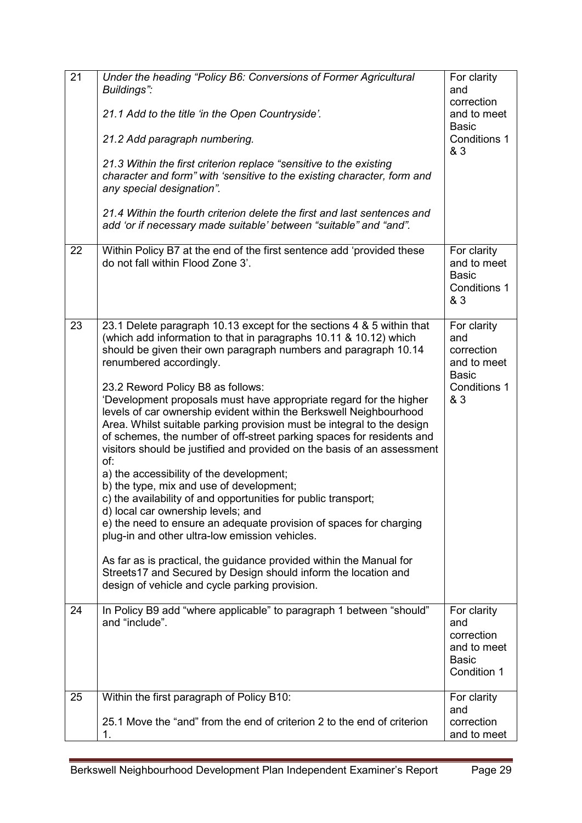| 21 | Under the heading "Policy B6: Conversions of Former Agricultural<br>Buildings":<br>21.1 Add to the title 'in the Open Countryside'.<br>21.2 Add paragraph numbering.<br>21.3 Within the first criterion replace "sensitive to the existing<br>character and form" with 'sensitive to the existing character, form and<br>any special designation".<br>21.4 Within the fourth criterion delete the first and last sentences and<br>add 'or if necessary made suitable' between "suitable" and "and".                                                                                                                                                                                                                                                                                                                                                                                                                                                                                                                                                                                                                                                                               | For clarity<br>and<br>correction<br>and to meet<br><b>Basic</b><br><b>Conditions 1</b><br>& 3 |
|----|-----------------------------------------------------------------------------------------------------------------------------------------------------------------------------------------------------------------------------------------------------------------------------------------------------------------------------------------------------------------------------------------------------------------------------------------------------------------------------------------------------------------------------------------------------------------------------------------------------------------------------------------------------------------------------------------------------------------------------------------------------------------------------------------------------------------------------------------------------------------------------------------------------------------------------------------------------------------------------------------------------------------------------------------------------------------------------------------------------------------------------------------------------------------------------------|-----------------------------------------------------------------------------------------------|
| 22 | Within Policy B7 at the end of the first sentence add 'provided these<br>do not fall within Flood Zone 3'.                                                                                                                                                                                                                                                                                                                                                                                                                                                                                                                                                                                                                                                                                                                                                                                                                                                                                                                                                                                                                                                                        | For clarity<br>and to meet<br><b>Basic</b><br><b>Conditions 1</b><br>& 3                      |
| 23 | 23.1 Delete paragraph 10.13 except for the sections 4 & 5 within that<br>(which add information to that in paragraphs 10.11 & 10.12) which<br>should be given their own paragraph numbers and paragraph 10.14<br>renumbered accordingly.<br>23.2 Reword Policy B8 as follows:<br>'Development proposals must have appropriate regard for the higher<br>levels of car ownership evident within the Berkswell Neighbourhood<br>Area. Whilst suitable parking provision must be integral to the design<br>of schemes, the number of off-street parking spaces for residents and<br>visitors should be justified and provided on the basis of an assessment<br>of:<br>a) the accessibility of the development;<br>b) the type, mix and use of development;<br>c) the availability of and opportunities for public transport;<br>d) local car ownership levels; and<br>e) the need to ensure an adequate provision of spaces for charging<br>plug-in and other ultra-low emission vehicles.<br>As far as is practical, the guidance provided within the Manual for<br>Streets17 and Secured by Design should inform the location and<br>design of vehicle and cycle parking provision. | For clarity<br>and<br>correction<br>and to meet<br><b>Basic</b><br>Conditions 1<br>& 3        |
| 24 | In Policy B9 add "where applicable" to paragraph 1 between "should"<br>and "include".                                                                                                                                                                                                                                                                                                                                                                                                                                                                                                                                                                                                                                                                                                                                                                                                                                                                                                                                                                                                                                                                                             | For clarity<br>and<br>correction<br>and to meet<br><b>Basic</b><br>Condition 1                |
| 25 | Within the first paragraph of Policy B10:<br>25.1 Move the "and" from the end of criterion 2 to the end of criterion<br>1.                                                                                                                                                                                                                                                                                                                                                                                                                                                                                                                                                                                                                                                                                                                                                                                                                                                                                                                                                                                                                                                        | For clarity<br>and<br>correction<br>and to meet                                               |